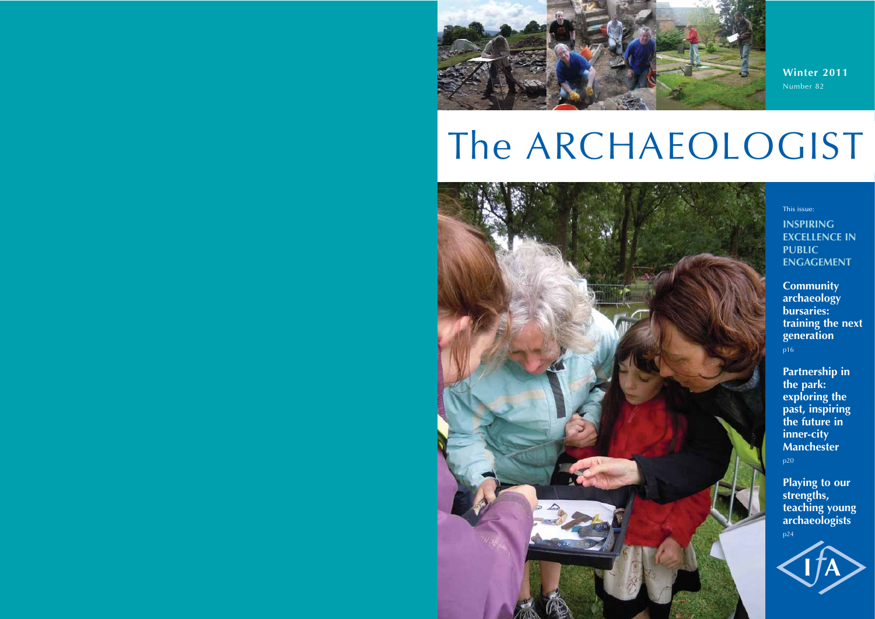**Winter 2011** Number 82

This issue:

**INSPIRING EXCELLENCE IN PUBLIC ENGAGEMENT**

**Community archaeology bursaries: training the next generation** p16

**Partnership in the park: exploring the past, inspiring the future in inner-city Manchester** p20

**Playing to our strengths, teaching young archaeologists**





# The ARCHAEOLOGIST

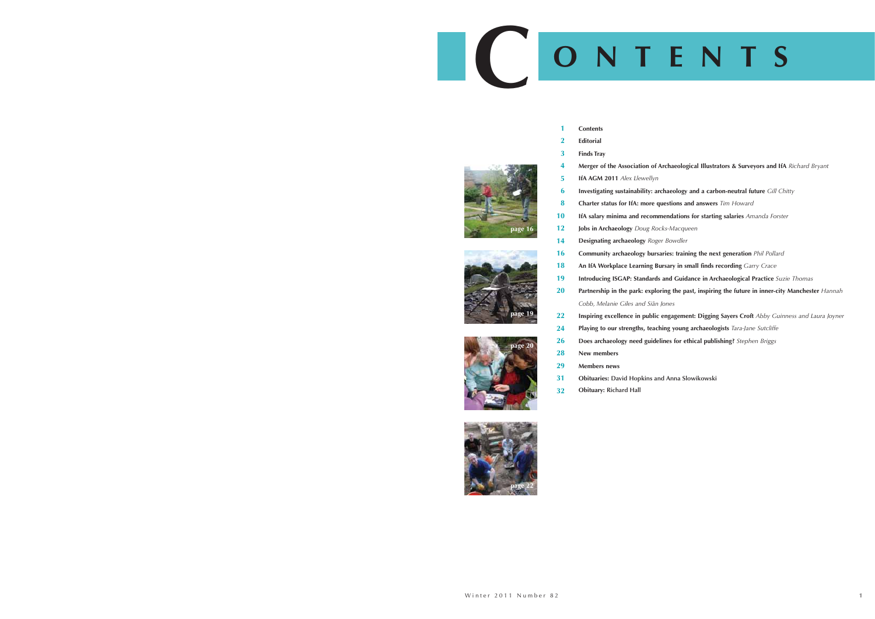# **C ONTENTS**

**Merger of the Association of Archaeological Illustrators & Surveyors and IfA** *Richard Bryant*

- **Contents Editorial 1 2**
- **3** 
	- **Finds Tray**
- **4**
- **IfA AGM 2011** *Alex Llewellyn* **5**
- **Investigating sustainability: archaeology and a carbon-neutral future** *Gill Chitty* **6**
- **Charter status for IfA: more questions and answers** *Tim Howard* **8**
- **IfA salary minima and recommendations for starting salaries** *Amanda Forster* **10**
- **Jobs in Archaeology** *Doug Rocks-Macqueen* **12**
- **Designating archaeology** *Roger Bowdler* **14**
- **16**
- **18**
- **19 20**
- 
- **Community archaeology bursaries: training the next generation** *Phil Pollard*
- **An IfA Workplace Learning Bursary in small finds recording** *Garry Crace*
- **Introducing ISGAP: Standards and Guidance in Archaeological Practice** *Suzie Thomas*
- **Partnership in the park: exploring the past, inspiring the future in inner-city Manchester** *Hannah*

*Cobb, Melanie Giles and Siân Jones*

- **Inspiring excellence in public engagement: Digging Sayers Croft** *Abby Guinness and Laura Joyner* **22**
- **Playing to our strengths, teaching young archaeologists** *Tara-Jane Sutcliffe* **24**
- **Does archaeology need guidelines for ethical publishing?** *Stephen Briggs* **26**
- **New members 28**
- **Members news 29**
- **Obituaries: David Hopkins and Anna Slowikowski 31**
- **Obituary: Richard Hall 32**







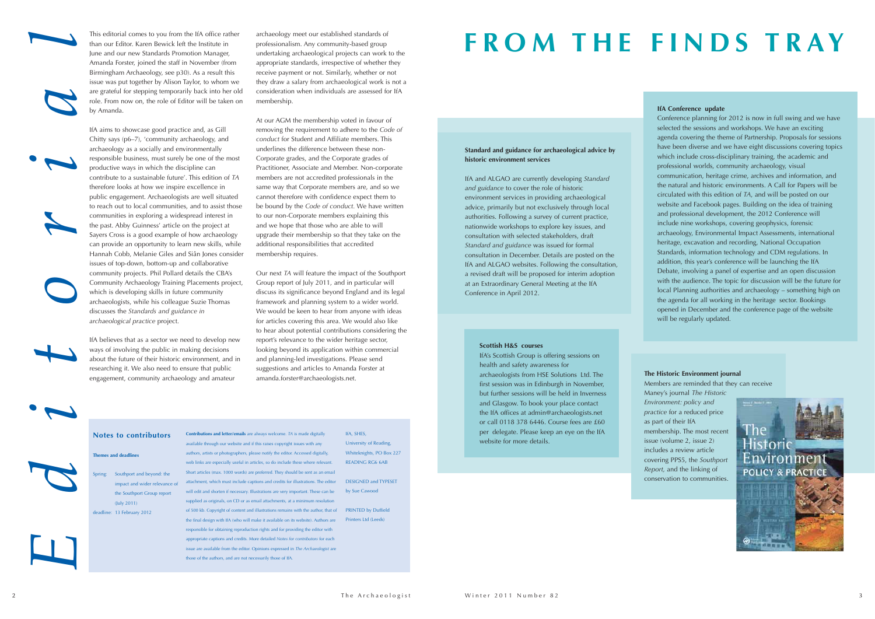archaeology meet our established standards of professionalism. Any community-based group undertaking archaeological projects can work to the appropriate standards, irrespective of whether they receive payment or not. Similarly, whether or not they draw a salary from archaeological work is not a consideration when individuals are assessed for IfA membership.

At our AGM the membership voted in favour of removing the requirement to adhere to the *Code of conduct* for Student and Affiliate members. This underlines the difference between these non-Corporate grades, and the Corporate grades of Practitioner, Associate and Member. Non-corporate members are not accredited professionals in the same way that Corporate members are, and so we cannot therefore with confidence expect them to be bound by the *Code of conduct.* We have written to our non-Corporate members explaining this and we hope that those who are able to will upgrade their membership so that they take on the additional responsibilities that accredited membership requires.

Our next *TA* will feature the impact of the Southport Group report of July 2011, and in particular will discuss its significance beyond England and its legal framework and planning system to a wider world. We would be keen to hear from anyone with ideas for articles covering this area. We would also like to hear about potential contributions considering the report's relevance to the wider heritage sector, looking beyond its application within commercial and planning-led investigations. Please send suggestions and articles to Amanda Forster at amanda.forster@archaeologists.net.



IfA aims to showcase good practice and, as Gill Chitty says (p6–7), 'community archaeology, and archaeology as a socially and environmentally responsible business, must surely be one of the most productive ways in which the discipline can contribute to a sustainable future'. This edition of *TA* therefore looks at how we inspire excellence in public engagement. Archaeologists are well situated to reach out to local communities, and to assist those communities in exploring a widespread interest in the past. Abby Guinness' article on the project at Sayers Cross is a good example of how archaeology can provide an opportunity to learn new skills, while Hannah Cobb, Melanie Giles and Siân Jones consider issues of top-down, bottom-up and collaborative community projects. Phil Pollard details the CBA's Community Archaeology Training Placements project, which is developing skills in future community archaeologists, while his colleague Suzie Thomas discusses the *Standards and guidance in archaeological practice* project.

Southport and beyond: the impact and wider relevance of the Southport Group report (July 2011) deadline: 13 February 2012

IfA believes that as a sector we need to develop new ways of involving the public in making decisions about the future of their historic environment, and in researching it. We also need to ensure that public engagement, community archaeology and amateur

#### **Scottish H&S courses**

IfA's Scottish Group is offering sessions on health and safety awareness for archaeologists from HSE Solutions Ltd. The first session was in Edinburgh in November, but further sessions will be held in Inverness and Glasgow. To book your place contact the IfA offices at admin@archaeologists.net or call 0118 378 6446. Course fees are £60 per delegate. Please keep an eye on the IfA website for more details.

#### **The Historic Environment journal**

Members are reminded that they can receive

Maney's journal *The Historic Environment: policy and practice* for a reduced price as part of their IfA membership. The most recent issue (volume 2, issue 2) includes a review article covering PPS5, the *Southport Report,* and the linking of conservation to communities.





**Contributions and letter/emails** are always welcome. *TA* is made digitally

available through our website and if this raises copyright issues with any authors, artists or photographers, please notify the editor. Accessed digitally, web links are especially useful in articles, so do include these where relevant. Short articles (max. 1000 words) are preferred. They should be sent as an email attachment, which must include captions and credits for illustrations. The editor DESIGNED and TYPESET will edit and shorten if necessary. Illustrations are very important. These can be supplied as originals, on CD or as email attachments, at a minimum resolution of 500 kb. Copyright of content and illustrations remains with the author, that of PRINTED by Duffield the final design with IfA (who will make it available on its website). Authors are responsible for obtaining reproduction rights and for providing the editor with appropriate captions and credits. More detailed *Notes for contributors* for each issue are available from the editor. Opinions expressed in *The Archaeologist* are those of the authors, and are not necessarily those of IfA.

IfA, SHES, University of Reading, Whiteknights, PO Box 227

# READING RG6 6AB

by Sue Cawood

Printers Ltd (Leeds)

#### **Notes to contributors**

#### **Themes and deadlines**

#### **Standard and guidance for archaeological advice by historic environment services**

IfA and ALGAO are currently developing *Standard and guidance* to cover the role of historic environment services in providing archaeological advice, primarily but not exclusively through local authorities. Following a survey of current practice, nationwide workshops to explore key issues, and consultation with selected stakeholders, draft *Standard and guidance* was issued for formal consultation in December. Details are posted on the IfA and ALGAO websites. Following the consultation, a revised draft will be proposed for interim adoption at an Extraordinary General Meeting at the IfA Conference in April 2012.

#### **IfA Conference update**

Conference planning for 2012 is now in full swing and we have selected the sessions and workshops. We have an exciting agenda covering the theme of Partnership. Proposals for sessions have been diverse and we have eight discussions covering topics which include cross-disciplinary training, the academic and professional worlds, community archaeology, visual communication, heritage crime, archives and information, and the natural and historic environments. A Call for Papers will be circulated with this edition of *TA*, and will be posted on our website and Facebook pages. Building on the idea of training and professional development, the 2012 Conference will include nine workshops, covering geophysics, forensic archaeology, Environmental Impact Assessments, international heritage, excavation and recording, National Occupation Standards, information technology and CDM regulations. In addition, this year's conference will be launching the IfA Debate, involving a panel of expertise and an open discussion with the audience. The topic for discussion will be the future for local Planning authorities and archaeology – something high on the agenda for all working in the heritage sector. Bookings opened in December and the conference page of the website will be regularly updated.

# **FROM THE FINDS TRAY**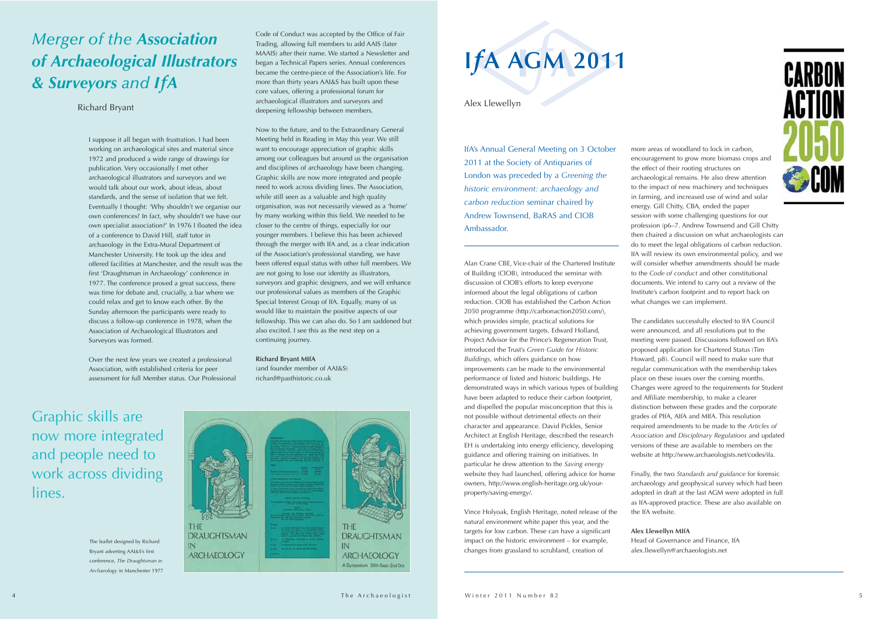more areas of woodland to lock in carbon, encouragement to grow more biomass crops and the effect of their rooting structures on archaeological remains. He also drew attention to the impact of new machinery and techniques in farming, and increased use of wind and solar energy. Gill Chitty, CBA, ended the paper session with some challenging questions for our profession (p6–7. Andrew Townsend and Gill Chitty then chaired a discussion on what archaeologists can do to meet the legal obligations of carbon reduction. IfA will review its own environmental policy, and we will consider whether amendments should be made to the *Code of conduct* and other constitutional documents. We intend to carry out a review of the Institute's carbon footprint and to report back on what changes we can implement.

The candidates successfully elected to IfA Council were announced, and all resolutions put to the meeting were passed. Discussions followed on IfA's proposed application for Chartered Status (Tim Howard, p8). Council will need to make sure that regular communication with the membership takes place on these issues over the coming months. Changes were agreed to the requirements for Student and Affiliate membership, to make a clearer distinction between these grades and the corporate grades of PIfA, AIfA and MIfA. This resolution required amendments to be made to the *Articles of Association* and *Disciplinary Regulations* and updated versions of these are available to members on the website at http://www.archaeologists.net/codes/ifa.

Finally, the two *Standards and guidance* for forensic archaeology and geophysical survey which had been adopted in draft at the last AGM were adopted in full as IfA-approved practice. These are also available on

the IfA website.

#### **Alex Llewellyn MIfA**

Head of Governance and Finance, IfA alex.llewellyn@archaeologists.net



IfA's Annual General Meeting on 3 October 2011 at the Society of Antiquaries of London was preceded by a *Greening the historic environment: archaeology and carbon reduction* seminar chaired by Andrew Townsend, BaRAS and CIOB Ambassador.

Alan Crane CBE, Vice-chair of the Chartered Institute of Building (CIOB), introduced the seminar with discussion of CIOB's efforts to keep everyone informed about the legal obligations of carbon reduction. CIOB has established the Carbon Action 2050 programme (http://carbonaction2050.com/), which provides simple, practical solutions for achieving government targets. Edward Holland, Project Advisor for the Prince's Regeneration Trust, introduced the Trust's *Green Guide for Historic Buildings,* which offers guidance on how improvements can be made to the environmental performance of listed and historic buildings. He demonstrated ways in which various types of building have been adapted to reduce their carbon footprint, and dispelled the popular misconception that this is not possible without detrimental effects on their character and appearance. David Pickles, Senior Architect at English Heritage, described the research EH is undertaking into energy efficiency, developing guidance and offering training on initiatives. In particular he drew attention to the *Saving energy* website they had launched, offering advice for home owners, http://www.english-heritage.org.uk/yourproperty/saving-energy/.

Vince Holyoak, English Heritage, noted release of the natural environment white paper this year, and the targets for low carbon. These can have a significant impact on the historic environment – for example, changes from grassland to scrubland, creation of

I suppose it all began with frustration. I had been working on archaeological sites and material since 1972 and produced a wide range of drawings for publication. Very occasionally I met other archaeological illustrators and surveyors and we would talk about our work, about ideas, about standards, and the sense of isolation that we felt. Eventually I thought: 'Why shouldn't we organise our own conferences? In fact, why shouldn't we have our own specialist association?' In 1976 I floated the idea of a conference to David Hill, staff tutor in archaeology in the Extra-Mural Department of Manchester University. He took up the idea and offered facilities at Manchester, and the result was the first 'Draughtsman in Archaeology' conference in 1977. The conference proved a great success, there was time for debate and, crucially, a bar where we could relax and get to know each other. By the Sunday afternoon the participants were ready to discuss a follow-up conference in 1978, when the Association of Archaeological Illustrators and Surveyors was formed.

Over the next few years we created a professional Association, with established criteria for peer assessment for full Member status. Our Professional

# *Merger of the Association of Archaeological Illustrators & Surveyors and IfA*

#### Richard Bryant

Code of Conduct was accepted by the Office of Fair Trading, allowing full members to add AAIS (later MAAIS) after their name. We started a Newsletter and began a Technical Papers series. Annual conferences became the centre-piece of the Association's life. For more than thirty years AAI&S has built upon these core values, offering a professional forum for archaeological illustrators and surveyors and deepening fellowship between members.

Now to the future, and to the Extraordinary General Meeting held in Reading in May this year. We still want to encourage appreciation of graphic skills among our colleagues but around us the organisation and disciplines of archaeology have been changing. Graphic skills are now more integrated and people need to work across dividing lines. The Association, while still seen as a valuable and high quality organisation, was not necessarily viewed as a 'home' by many working within this field. We needed to be closer to the centre of things, especially for our younger members. I believe this has been achieved through the merger with IfA and, as a clear indication of the Association's professional standing, we have been offered equal status with other full members. We are not going to lose our identity as illustrators, surveyors and graphic designers, and we will enhance our professional values as members of the Graphic Special Interest Group of IfA. Equally, many of us would like to maintain the positive aspects of our fellowship. This we can also do. So I am saddened but also excited. I see this as the next step on a continuing journey.

**Richard Bryant MIfA**  (and founder member of AAI&S) richard@pasthistoric.co.uk

The leaflet designed by Richard Bryant adverting AAI&S's first conference, *The Draughtsman in Archaeology* in Manchester 1977



# Graphic skills are now more integrated and people need to work across dividing lines.

# **I***f***A AGM 2011**

#### Alex Llewellyn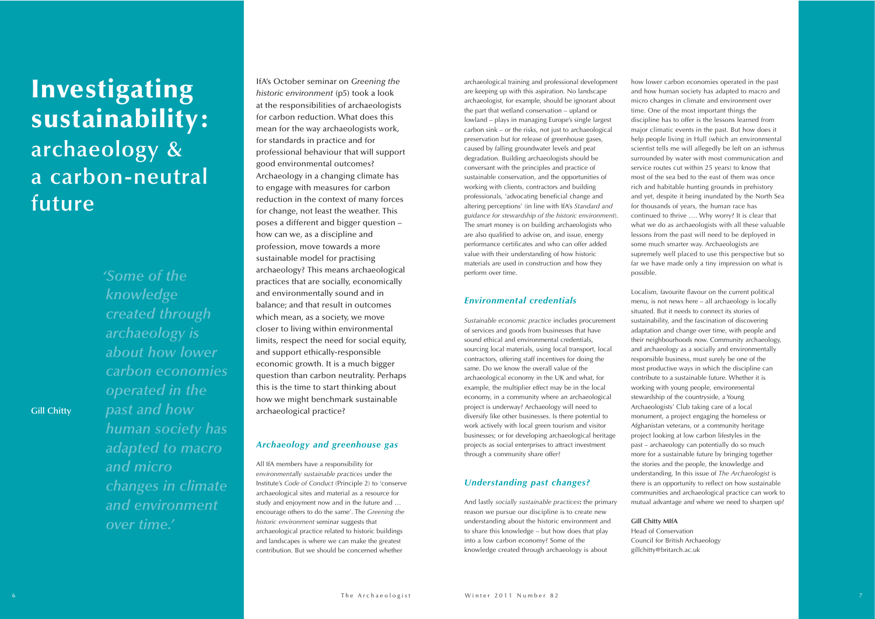archaeological training and professional development are keeping up with this aspiration. No landscape archaeologist, for example, should be ignorant about the part that wetland conservation – upland or lowland – plays in managing Europe's single largest carbon sink – or the risks, not just to archaeological preservation but for release of greenhouse gases, caused by falling groundwater levels and peat degradation. Building archaeologists should be conversant with the principles and practice of sustainable conservation, and the opportunities of working with clients, contractors and building professionals, 'advocating beneficial change and altering perceptions' (in line with IfA's *Standard and guidance for stewardship of the historic environment*). The smart money is on building archaeologists who are also qualified to advise on, and issue, energy performance certificates and who can offer added value with their understanding of how historic materials are used in construction and how they perform over time.

#### *Environmental credentials*

*Sustainable economic practice* includes procurement of services and goods from businesses that have sound ethical and environmental credentials, sourcing local materials, using local transport, local contractors, offering staff incentives for doing the same. Do we know the overall value of the archaeological economy in the UK and what, for example, the multiplier effect may be in the local economy, in a community where an archaeological project is underway? Archaeology will need to diversify like other businesses. Is there potential to work actively with local green tourism and visitor businesses; or for developing archaeological heritage projects as social enterprises to attract investment through a community share offer?

#### *Understanding past changes?*

And lastly *socially sustainable practices***:** the primary reason we pursue our discipline is to create new understanding about the historic environment and to share this knowledge – but how does that play into a low carbon economy? Some of the knowledge created through archaeology is about

IfA's October seminar on *Greening the historic environment* (p5) took a look at the responsibilities of archaeologists for carbon reduction. What does this mean for the way archaeologists work, for standards in practice and for professional behaviour that will support good environmental outcomes? Archaeology in a changing climate has to engage with measures for carbon reduction in the context of many forces for change, not least the weather. This poses a different and bigger question – how can we, as a discipline and profession, move towards a more sustainable model for practising archaeology? This means archaeological practices that are socially, economically and environmentally sound and in balance; and that result in outcomes which mean, as a society, we move closer to living within environmental limits, respect the need for social equity, and support ethically-responsible economic growth. It is a much bigger question than carbon neutrality. Perhaps this is the time to start thinking about how we might benchmark sustainable archaeological practice?

#### *Archaeology and greenhouse gas*

All IfA members have a responsibility for *environmentally sustainable practices* under the Institute's *Code of Conduct* (Principle 2) to 'conserve archaeological sites and material as a resource for study and enjoyment now and in the future and … encourage others to do the same'. The *Greening the historic environment* seminar suggests that archaeological practice related to historic buildings and landscapes is where we can make the greatest contribution. But we should be concerned whether

# **Investigating sustainability: archaeology & a carbon-neutral future**

**Gill Chitty**

how lower carbon economies operated in the past and how human society has adapted to macro and micro changes in climate and environment over time. One of the most important things the discipline has to offer is the lessons learned from major climatic events in the past. But how does it help people living in Hull (which an environmental scientist tells me will allegedly be left on an isthmus surrounded by water with most communication and service routes cut within 25 years) to know that most of the sea bed to the east of them was once rich and habitable hunting grounds in prehistory and yet, despite it being inundated by the North Sea for thousands of years, the human race has continued to thrive …. Why worry? It is clear that what we do as archaeologists with all these valuable lessons from the past will need to be deployed in some much smarter way. Archaeologists are supremely well placed to use this perspective but so far we have made only a tiny impression on what is

possible.

Localism, favourite flavour on the current political menu, is not news here – all archaeology is locally situated. But it needs to connect its stories of sustainability, and the fascination of discovering adaptation and change over time, with people and their neighbourhoods now. Community archaeology, and archaeology as a socially and environmentally responsible business, must surely be one of the most productive ways in which the discipline can contribute to a sustainable future. Whether it is working with young people, environmental stewardship of the countryside, a Young Archaeologists' Club taking care of a local monument, a project engaging the homeless or Afghanistan veterans, or a community heritage project looking at low carbon lifestyles in the past – archaeology can potentially do so much more for a sustainable future by bringing together the stories and the people, the knowledge and understanding. In this issue of *The Archaeologist* is there is an opportunity to reflect on how sustainable communities and archaeological practice can work to mutual advantage and where we need to sharpen up?

#### **Gill Chitty MIfA**

Head of Conservation Council for British Archaeology gillchitty@britarch.ac.uk

*'Some of the knowledge created through archaeology is about how lower carbon economies operated in the past and how human society has adapted to macro and micro changes in climate and environment over time.'*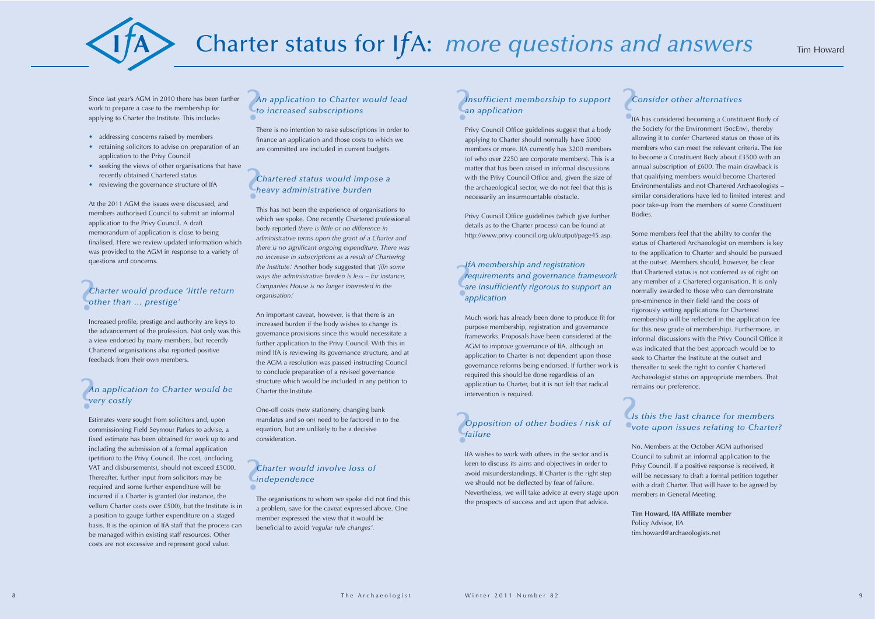

# Charter status for IfA: more questions and answers Tim Howard



Since last year's AGM in 2010 there has been further work to prepare a case to the membership for applying to Charter the Institute. This includes

- addressing concerns raised by members
- retaining solicitors to advise on preparation of an application to the Privy Council
- seeking the views of other organisations that have recently obtained Chartered status
- reviewing the governance structure of IfA

# Pet<sub>ot</sub> *Charter would produce 'little return other than … prestige'*

# Ar<br>Ve *An application to Charter would be very costly*

At the 2011 AGM the issues were discussed, and members authorised Council to submit an informal application to the Privy Council. A draft memorandum of application is close to being finalised. Here we review updated information which was provided to the AGM in response to a variety of questions and concerns.

# $\frac{\lambda_1}{\lambda_0}$ *An application to Charter would lead to increased subscriptions*

Increased profile, prestige and authority are keys to the advancement of the profession. Not only was this a view endorsed by many members, but recently Chartered organisations also reported positive feedback from their own members.

# $\sum_{h\in\mathcal{F}}$ *Chartered status would impose a heavy administrative burden*

Estimates were sought from solicitors and, upon commissioning Field Seymour Parkes to advise, a fixed estimate has been obtained for work up to and including the submission of a formal application (petition) to the Privy Council. The cost, (including VAT and disbursements), should not exceed £5000. Thereafter, further input from solicitors may be required and some further expenditure will be incurred if a Charter is granted (for instance, the vellum Charter costs over £500), but the Institute is in a position to gauge further expenditure on a staged basis. It is the opinion of IfA staff that the process can be managed within existing staff resources. Other costs are not excessive and represent good value.

# $\sum_{\text{in}}$ *Charter would involve loss of independence*

# **a**<br>**Pri** *Insufficient membership to support an application*

There is no intention to raise subscriptions in order to finance an application and those costs to which we are committed are included in current budgets.

#### *IfA membership and registration*<br>*requirements and governance frace insufficiently rigorous to sup*<br>*application requirements and governance framework are insufficiently rigorous to support an application*

# **P**<br> $\frac{1}{2}$ *Opposition of other bodies / risk of failure*

This has not been the experience of organisations to which we spoke. One recently Chartered professional body reported *there is little or no difference in administrative terms upon the grant of a Charter and there is no significant ongoing expenditure. There was no increase in subscriptions as a result of Chartering the Institute.'* Another body suggested that *'[i]n some ways the administrative burden is less – for instance, Companies House is no longer interested in the organisation.'*

An important caveat, however, is that there is an increased burden if the body wishes to change its governance provisions since this would necessitate a further application to the Privy Council. With this in mind IfA is reviewing its governance structure, and at the AGM a resolution was passed instructing Council to conclude preparation of a revised governance structure which would be included in any petition to Charter the Institute.

One-off costs (new stationery, changing bank mandates and so on) need to be factored in to the equation, but are unlikely to be a decisive consideration.

The organisations to whom we spoke did not find this a problem, save for the caveat expressed above. One member expressed the view that it would be beneficial to avoid *'regular rule changes'*.

Privy Council Office guidelines suggest that a body applying to Charter should normally have 5000 members or more. IfA currently has 3200 members (of who over 2250 are corporate members). This is a matter that has been raised in informal discussions with the Privy Council Office and, given the size of the archaeological sector, we do not feel that this is necessarily an insurmountable obstacle.

Privy Council Office guidelines (which give further details as to the Charter process) can be found at http://www.privy-council.org.uk/output/page45.asp.

Much work has already been done to produce fit for purpose membership, registration and governance frameworks. Proposals have been considered at the AGM to improve governance of IfA, although an application to Charter is not dependent upon those governance reforms being endorsed. If further work is required this should be done regardless of an application to Charter, but it is not felt that radical intervention is required.

IfA wishes to work with others in the sector and is keen to discuss its aims and objectives in order to avoid misunderstandings. If Charter is the right step we should not be deflected by fear of failure. Nevertheless, we will take advice at every stage upon the prospects of success and act upon that advice.

# **PC**

#### *Consider other alternatives*

IfA has considered becoming a Constituent Body of the Society for the Environment (SocEnv), thereby allowing it to confer Chartered status on those of its members who can meet the relevant criteria. The fee to become a Constituent Body about £3500 with an annual subscription of £600. The main drawback is that qualifying members would become Chartered Environmentalists and not Chartered Archaeologists – similar considerations have led to limited interest and poor take-up from the members of some Constituent

Bodies.

# **P**<br> $\frac{1}{2}$

Some members feel that the ability to confer the status of Chartered Archaeologist on members is key to the application to Charter and should be pursued at the outset. Members should, however, be clear that Chartered status is not conferred as of right on any member of a Chartered organisation. It is only normally awarded to those who can demonstrate pre-eminence in their field (and the costs of rigorously vetting applications for Chartered membership will be reflected in the application fee for this new grade of membership). Furthermore, in informal discussions with the Privy Council Office it was indicated that the best approach would be to seek to Charter the Institute at the outset and thereafter to seek the right to confer Chartered Archaeologist status on appropriate members. That remains our preference.

#### *Is this the last chance for members vote upon issues relating to Charter?*

No. Members at the October AGM authorised Council to submit an informal application to the Privy Council. If a positive response is received, it will be necessary to draft a formal petition together with a draft Charter. That will have to be agreed by members in General Meeting.

#### **Tim Howard, IfA Affiliate member**

Policy Advisor, IfA

tim.howard@archaeologists.net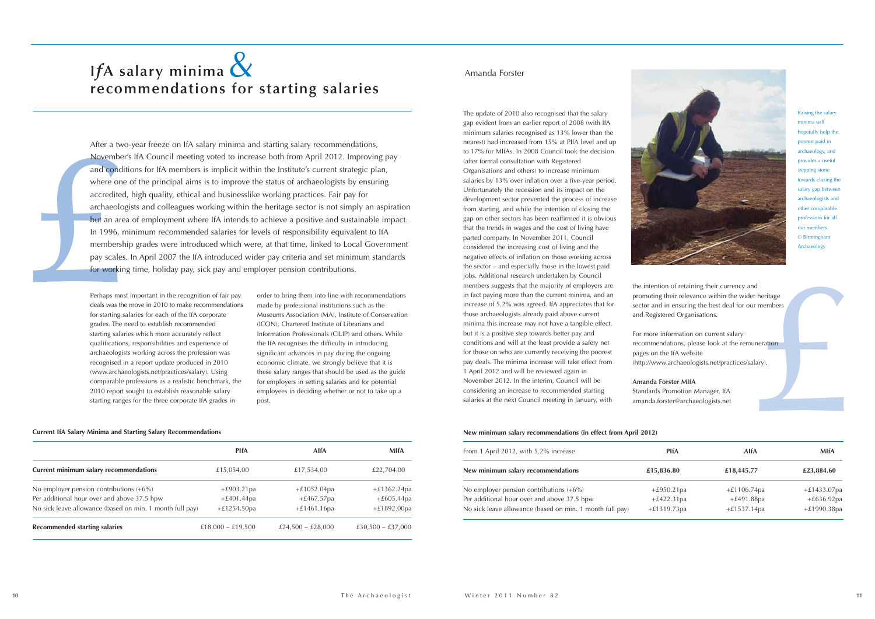November<br>
and condit<br>
where one<br>
accredited<br>
archaeolog<br>
but an area<br>
In 1996, m<br>
membersh<br>
pay scales.<br>
for working<br>
Perhaps most<br>
deals was the<br>
for starting sales.<br>
Therefore starting sales. After a two-year freeze on IfA salary minima and starting salary recommendations, November's IfA Council meeting voted to increase both from April 2012. Improving pay and conditions for IfA members is implicit within the Institute's current strategic plan, where one of the principal aims is to improve the status of archaeologists by ensuring accredited, high quality, ethical and businesslike working practices. Fair pay for archaeologists and colleagues working within the heritage sector is not simply an aspiration but an area of employment where IfA intends to achieve a positive and sustainable impact. In 1996, minimum recommended salaries for levels of responsibility equivalent to IfA membership grades were introduced which were, at that time, linked to Local Government pay scales. In April 2007 the IfA introduced wider pay criteria and set minimum standards for working time, holiday pay, sick pay and employer pension contributions.

#### **Current IfA Salary Minima and Starting Salary Recommendations**

|                                                          | <b>PIfA</b>       | <b>AlfA</b>         | <b>MIfA</b>         |
|----------------------------------------------------------|-------------------|---------------------|---------------------|
| <b>Current minimum salary recommendations</b>            | £15,054.00        | £17,534.00          | £22,704.00          |
| No employer pension contributions $(+6%)$                | $+£903.21pa$      | $+£1052.04pa$       | $+£1362.24pa$       |
| Per additional hour over and above 37.5 hpw              | $+£401.44pa$      | $+£467.57pa$        | $+£605.44pa$        |
| No sick leave allowance (based on min. 1 month full pay) | $+£1254.50pa$     | $+£1461.16pa$       | $+£1892.00pa$       |
| <b>Recommended starting salaries</b>                     | £18,000 - £19,500 | $£24,500 - £28,000$ | $£30,500 - £37,000$ |

order to bring them into line with recommendations made by professional institutions such as the Museums Association (MA), Institute of Conservation (ICON), Chartered Institute of Librarians and Information Professionals (CILIP) and others. While the IfA recognises the difficulty in introducing significant advances in pay during the ongoing economic climate, we strongly believe that it is these salary ranges that should be used as the guide for employers in setting salaries and for potential employees in deciding whether or not to take up a post.

# **I***f***A salary minima**  &**recommendations for starting salaries**

Perhaps most important in the recognition of fair pay deals was the move in 2010 to make recommendations for starting salaries for each of the IfA corporate grades. The need to establish recommended starting salaries which more accurately reflect qualifications, responsibilities and experience of archaeologists working across the profession was recognised in a report update produced in 2010 (www.archaeologists.net/practices/salary). Using comparable professions as a realistic benchmark, the 2010 report sought to establish reasonable salary starting ranges for the three corporate IfA grades in

| Per additional hour over and above 37.5 hpw<br>No sick leave allowance (based on min. 1 month full pay)      | $+£422.31pa$<br>+£1319.73pa                                                                  | $+£491.88pa$<br>$+£1537.14pa$                        | $+£636.92pa$<br>+£1990.38pa |  |  |
|--------------------------------------------------------------------------------------------------------------|----------------------------------------------------------------------------------------------|------------------------------------------------------|-----------------------------|--|--|
| No employer pension contributions $(+6%)$                                                                    | $+£950.21pa$                                                                                 | $+£1106.74pa$                                        | $+£1433.07pa$               |  |  |
| New minimum salary recommendations                                                                           | £15,836.80                                                                                   | £18,445.77                                           | £23,884.60                  |  |  |
| From 1 April 2012, with 5.2% increase                                                                        | <b>PIfA</b>                                                                                  | <b>AlfA</b>                                          | <b>MIfA</b>                 |  |  |
| New minimum salary recommendations (in effect from April 2012)                                               |                                                                                              |                                                      |                             |  |  |
| considering an increase to recommended starting<br>salaries at the next Council meeting in January, with     | Amanda Forster MIfA<br>Standards Promotion Manager, IfA<br>amanda.forster@archaeologists.net |                                                      |                             |  |  |
| 1 April 2012 and will be reviewed again in<br>November 2012. In the interim, Council will be                 |                                                                                              |                                                      |                             |  |  |
| for those on who are currently receiving the poorest<br>pay deals. The minima increase will take effect from | pages on the IfA website<br>(http://www.archaeologists.net/practices/salary).                |                                                      |                             |  |  |
| conditions and will at the least provide a safety net                                                        | recommendations, please look at the remuneration                                             |                                                      |                             |  |  |
| minima this increase may not have a tangible effect,<br>but it is a positive step towards better pay and     | For more information on current salary                                                       |                                                      |                             |  |  |
| increase of 5.2% was agreed. IfA appreciates that for<br>those archaeologists already paid above current     | and Registered Organisations.                                                                | sector and in ensuring the best deal for our members |                             |  |  |
| in fact paying more than the current minima, and an                                                          | promoting their relevance within the wider heritage                                          |                                                      |                             |  |  |
| members suggests that the majority of employers are                                                          | the intention of retaining their currency and                                                |                                                      |                             |  |  |

#### Amanda Forster

The update of 2010 also recognised that the salary gap evident from an earlier report of 2008 (with IfA minimum salaries recognised as 13% lower than the nearest) had increased from 15% at PIfA level and up to 17% for MIfAs. In 2008 Council took the decision (after formal consultation with Registered Organisations and others) to increase minimum salaries by 13% over inflation over a five-year period. Unfortunately the recession and its impact on the development sector prevented the process of increase from starting, and while the intention of closing the gap on other sectors has been reaffirmed it is obvious that the trends in wages and the cost of living have parted company. In November 2011, Council considered the increasing cost of living and the negative effects of inflation on those working across the sector – and especially those in the lowest paid jobs. Additional research undertaken by Council members suggests that the majority of employers are in fact paying more than the current minima, and an increase of 5.2% was agreed. IfA appreciates that for those archaeologists already paid above current minima this increase may not have a tangible effect, but it is a positive step towards better pay and conditions and will at the least provide a safety net for those on who are currently receiving the poorest pay deals. The minima increase will take effect from 1 April 2012 and will be reviewed again in November 2012. In the interim, Council will be considering an increase to recommended starting salaries at the next Council meeting in January, with



#### **Amanda Forster MIfA**

#### **New minimum salary recommendations (in effect from April 2012)**

Raising the salary minima will hopefully help the poorest paid in archaeology, and provides a useful stepping stone towards closing the salary gap between archaeologists and other comparable professions for all our members. © Birmingham Archaeology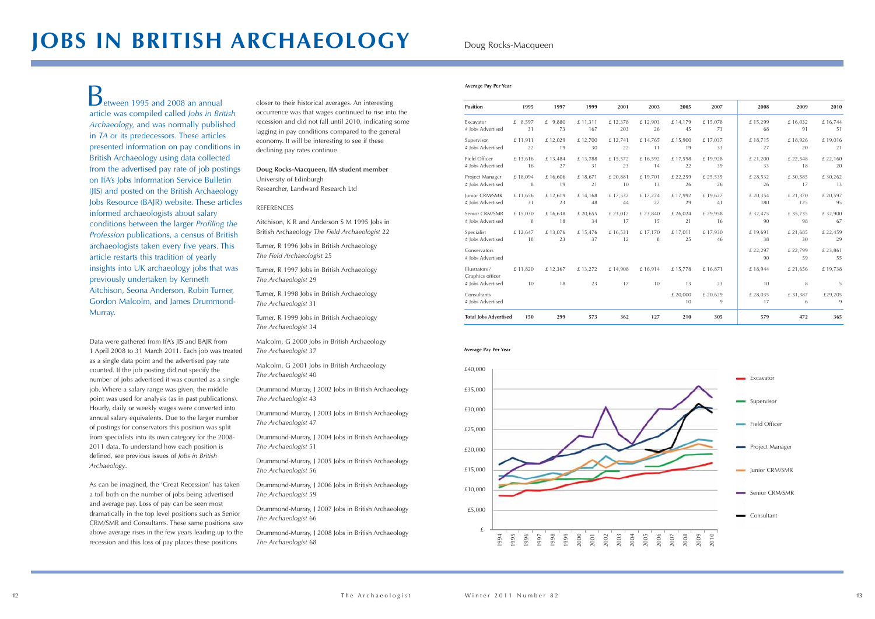closer to their historical averages. An interesting occurrence was that wages continued to rise into the recession and did not fall until 2010, indicating some lagging in pay conditions compared to the general economy. It will be interesting to see if these declining pay rates continue. Average Pay Per Year<br>
etween 1995 and 2008 an annual closer to their historical averages. An interesting<br>
article was compiled called *lobs in Pritich* occurrence was that waves continued to rise into the

**Doug Rocks-Macqueen, IfA student member** University of Edinburgh Researcher, Landward Research Ltd

#### REFERENCES

Aitchison, K R and Anderson S M 1995 Jobs in British Archaeology *The Field Archaeologist* 22

Turner, R 1996 Jobs in British Archaeology *The Field Archaeologist* 25

Turner, R 1997 Jobs in British Archaeology *The Archaeologist* 29

Turner, R 1998 Jobs in British Archaeology *The Archaeologist* 31

Turner, R 1999 Jobs in British Archaeology *The Archaeologist* 34

Malcolm, G 2000 Jobs in British Archaeology *The Archaeologist* 37

Malcolm, G 2001 Jobs in British Archaeology *The Archaeologist* 40

Drummond-Murray, J 2002 Jobs in British Archaeology *The Archaeologist* 43

Drummond-Murray, J 2003 Jobs in British Archaeology *The Archaeologist* 47

Drummond-Murray, J 2004 Jobs in British Archaeology *The Archaeologist* 51

Drummond-Murray, J 2005 Jobs in British Archaeology *The Archaeologist* 56

Drummond-Murray, J 2006 Jobs in British Archaeology *The Archaeologist* 59

Drummond-Murray, J 2007 Jobs in British Archaeology *The Archaeologist* 66

Drummond-Murray, J 2008 Jobs in British Archaeology *The Archaeologist* 68

# **JOBS IN BRITISH ARCHAEOLOGY** Doug Rocks-Macqueen

etween 1995 and 2008 an annual article was compiled called *Jobs in British Archaeology,* and was normally published in *TA* or its predecessors*.* These articles presented information on pay conditions in British Archaeology using data collected from the advertised pay rate of job postings on IfA's Jobs Information Service Bulletin (JIS) and posted on the British Archaeology Jobs Resource (BAJR) website. These articles informed archaeologists about salary conditions between the larger *Profiling the Profession* publications, a census of British archaeologists taken every five years. This article restarts this tradition of yearly insights into UK archaeology jobs that was previously undertaken by Kenneth Aitchison, Seona Anderson, Robin Turner, Gordon Malcolm, and James Drummond-Murray.

Data were gathered from IfA's JIS and BAJR from 1 April 2008 to 31 March 2011. Each job was treated as a single data point and the advertised pay rate counted. If the job posting did not specify the number of jobs advertised it was counted as a single job. Where a salary range was given, the middle point was used for analysis (as in past publications). Hourly, daily or weekly wages were converted into annual salary equivalents. Due to the larger number of postings for conservators this position was split from specialists into its own category for the 2008- 2011 data. To understand how each position is defined, see previous issues of *Jobs in British Archaeology*.

As can be imagined, the 'Great Recession' has taken a toll both on the number of jobs being advertised and average pay. Loss of pay can be seen most dramatically in the top level positions such as Senior CRM/SMR and Consultants. These same positions saw above average rises in the few years leading up to the recession and this loss of pay places these positions

| Position                           | 1995      | 1997      | 1999     | 2001     | 2003     | 2005     | 2007     | 2008     | 2009     | 2010     |
|------------------------------------|-----------|-----------|----------|----------|----------|----------|----------|----------|----------|----------|
| Excavator                          | £ $8,597$ | £ $9,880$ | £11,311  | £12,378  | £12,903  | £14,179  | £15,078  | £15,299  | £16,032  | £16,744  |
| # Jobs Advertised                  | 31        | 73        | 167      | 203      | 26       | 45       | 73       | 68       | 91       | 51       |
| Supervisor                         | £11,911   | £12,029   | £12,700  | £12,741  | £14,765  | £15,900  | £17,037  | £18,715  | £18,926  | £19,016  |
| # Jobs Advertised                  | 22        | 19        | 30       | 22       | 11       | 19       | 33       | 27       | 20       | 21       |
| Field Officer                      | £13,616   | £13,484   | £13,788  | £15,572  | £16,592  | £17,598  | £19,928  | £ 21,200 | £ 22,548 | £ 22,160 |
| # Jobs Advertised                  | 16        | 27        | 31       | 23       | 14       | 22       | 39       | 33       | 18       | 20       |
| Project Manager                    | £18,094   | £16,606   | £18,671  | £ 20,881 | £19,701  | £ 22,259 | £ 25,535 | £28,532  | £30,585  | £ 30,262 |
| # Jobs Advertised                  | 8         | 19        | 21       | 10       | 13       | 26       | 26       | 26       | 17       | 13       |
| Junior CRM/SMR                     | £11,656   | £12,619   | £14,168  | £17,532  | £17,274  | £17,992  | £19,627  | £ 20,354 | £ 21,370 | £ 20,597 |
| # Jobs Advertised                  | 31        | 23        | 48       | 44       | 27       | 29       | 41       | 180      | 125      | 95       |
| Senior CRM/SMR                     | £15,030   | £16,638   | £ 20,655 | £ 23,012 | £ 23,840 | £ 26,024 | £ 29,958 | £ 32,475 | £ 35,735 | £ 32,900 |
| # Jobs Advertised                  | 8         | 18        | 34       | 17       | 15       | 21       | 16       | 90       | 98       | 67       |
| Specialist                         | £12,647   | £13,076   | £15,476  | £16,531  | £17,170  | £17,011  | £17,930  | £19,691  | £ 21,685 | £ 22,459 |
| # Jobs Advertised                  | 18        | 23        | 37       | 12       | 8        | 25       | 46       | 38       | 30       | 29       |
| Conservators                       |           |           |          |          |          |          |          | £ 22,297 | £ 22,799 | £ 23,861 |
| # Jobs Advertised                  |           |           |          |          |          |          |          | 90       | 59       | 55       |
| Illustrators /<br>Graphics officer | £ 11,820  | £12,367   | £13,272  | £14,908  | £16,914  | £15,778  | £16,871  | £18,944  | £ 21,656 | £19,738  |
| # Jobs Advertised                  | 10        | 18        | 23       | 17       | 10       | 13       | 23       | 10       | 8        | 5        |
| Consultants                        |           |           |          |          |          | £ 20,000 | £ 20,629 | £ 28,035 | £ 31,387 | £29,205  |
| # Jobs Advertised                  |           |           |          |          |          | 10       | 9        | 17       | 6        | 9        |
| <b>Total Jobs Advertised</b>       | 150       | 299       | 573      | 362      | 127      | 210      | 305      | 579      | 472      | 365      |



#### **Average Pay Per Year**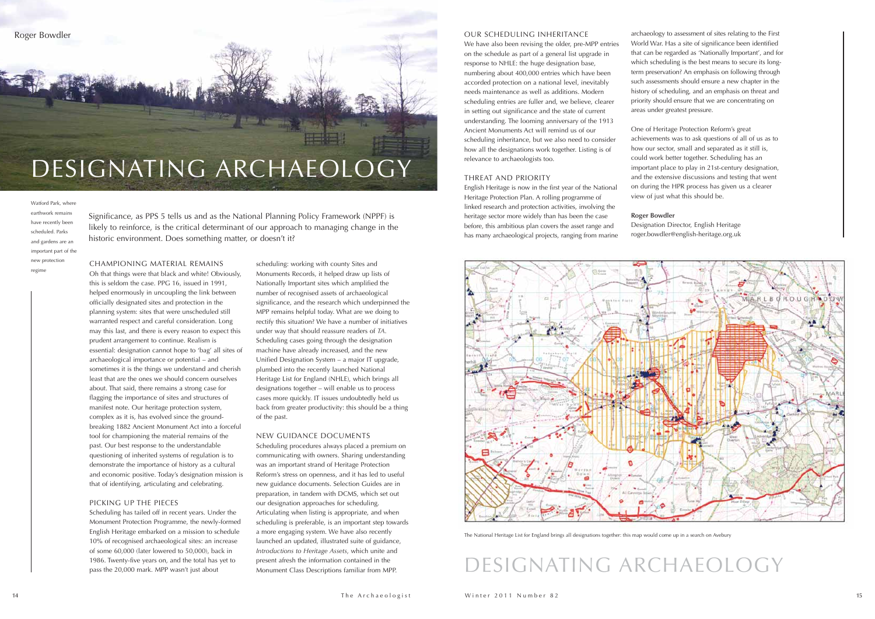OUR SCHEDULING INHERITANCE

We have also been revising the older, pre-MPP entries on the schedule as part of a general list upgrade in response to NHLE: the huge designation base, numbering about 400,000 entries which have been accorded protection on a national level, inevitably needs maintenance as well as additions. Modern scheduling entries are fuller and, we believe, clearer in setting out significance and the state of current understanding. The looming anniversary of the 1913 Ancient Monuments Act will remind us of our scheduling inheritance, but we also need to consider how all the designations work together. Listing is of relevance to archaeologists too.

#### THREAT AND PRIORITY

English Heritage is now in the first year of the National Heritage Protection Plan. A rolling programme of linked research and protection activities, involving the heritage sector more widely than has been the case before, this ambitious plan covers the asset range and has many archaeological projects, ranging from marine



archaeology to assessment of sites relating to the First World War. Has a site of significance been identified that can be regarded as 'Nationally Important', and for which scheduling is the best means to secure its longterm preservation? An emphasis on following through such assessments should ensure a new chapter in the history of scheduling, and an emphasis on threat and priority should ensure that we are concentrating on areas under greatest pressure.

One of Heritage Protection Reform's great achievements was to ask questions of all of us as to how our sector, small and separated as it still is, could work better together. Scheduling has an important place to play in 21st-century designation, and the extensive discussions and testing that went on during the HPR process has given us a clearer view of just what this should be.

#### **Roger Bowdler**

Designation Director, English Heritage roger.bowdler@english-heritage.org.uk

DESIGNATING ARCHAEOLOGY

The National Heritage List for England brings all designations together: this map would come up in a search on Avebury

14 The Archaeologist Winter 2011 Number 82 15

scheduling: working with county Sites and Monuments Records, it helped draw up lists of Nationally Important sites which amplified the number of recognised assets of archaeological significance, and the research which underpinned the MPP remains helpful today. What are we doing to rectify this situation? We have a number of initiatives under way that should reassure readers of *TA*. Scheduling cases going through the designation machine have already increased, and the new Unified Designation System – a major IT upgrade, plumbed into the recently launched National Heritage List for England (NHLE), which brings all designations together – will enable us to process cases more quickly. IT issues undoubtedly held us back from greater productivity: this should be a thing of the past.

Watford Park, where earthwork remains have recently been scheduled. Parks and gardens are an important part of the new protection regime

#### NEW GUIDANCE DOCUMENTS

Scheduling procedures always placed a premium on communicating with owners. Sharing understanding was an important strand of Heritage Protection Reform's stress on openness, and it has led to useful new guidance documents. Selection Guides are in preparation, in tandem with DCMS, which set out our designation approaches for scheduling. Articulating when listing is appropriate, and when scheduling is preferable, is an important step towards a more engaging system. We have also recently launched an updated, illustrated suite of guidance, *Introductions to Heritage Assets*, which unite and present afresh the information contained in the Monument Class Descriptions familiar from MPP.

Significance, as PPS 5 tells us and as the National Planning Policy Framework (NPPF) is likely to reinforce, is the critical determinant of our approach to managing change in the

historic environment. Does something matter, or doesn't it?

# DESIGNATING ARCHAEOLOGY



CHAMPIONING MATERIAL REMAINS

Oh that things were that black and white! Obviously, this is seldom the case. PPG 16, issued in 1991, helped enormously in uncoupling the link between officially designated sites and protection in the planning system: sites that were unscheduled still warranted respect and careful consideration. Long may this last, and there is every reason to expect this prudent arrangement to continue. Realism is essential: designation cannot hope to 'bag' all sites of archaeological importance or potential – and sometimes it is the things we understand and cherish least that are the ones we should concern ourselves about. That said, there remains a strong case for flagging the importance of sites and structures of manifest note. Our heritage protection system, complex as it is, has evolved since the groundbreaking 1882 Ancient Monument Act into a forceful tool for championing the material remains of the past. Our best response to the understandable questioning of inherited systems of regulation is to demonstrate the importance of history as a cultural and economic positive. Today's designation mission is that of identifying, articulating and celebrating.

#### PICKING UP THE PIECES

Scheduling has tailed off in recent years. Under the Monument Protection Programme, the newly-formed English Heritage embarked on a mission to schedule 10% of recognised archaeological sites: an increase of some 60,000 (later lowered to 50,000), back in 1986. Twenty-five years on, and the total has yet to pass the 20,000 mark. MPP wasn't just about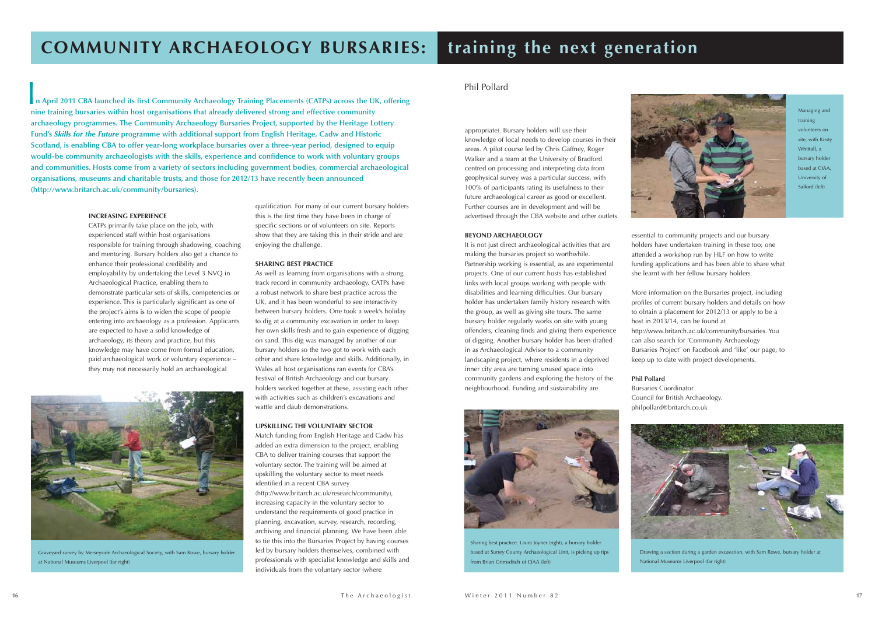

#### Phil Pollard

#### **INCREASING EXPERIENCE**

CATPs primarily take place on the job, with experienced staff within host organisations responsible for training through shadowing, coaching and mentoring. Bursary holders also get a chance to enhance their professional credibility and employability by undertaking the Level 3 NVQ in Archaeological Practice, enabling them to demonstrate particular sets of skills, competencies or experience. This is particularly significant as one of the project's aims is to widen the scope of people entering into archaeology as a profession. Applicants are expected to have a solid knowledge of archaeology, its theory and practice, but this knowledge may have come from formal education, paid archaeological work or voluntary experience – they may not necessarily hold an archaeological

appropriate). Bursary holders will use their knowledge of local needs to develop courses in their areas. A pilot course led by Chris Gaffney, Roger Walker and a team at the University of Bradford centred on processing and interpreting data from geophysical survey was a particular success, with 100% of participants rating its usefulness to their future archaeological career as good or excellent. Further courses are in development and will be advertised through the CBA website and other outlets.

#### **BEYOND ARCHAEOLOGY**

It is not just direct archaeological activities that are making the bursaries project so worthwhile. Partnership working is essential, as are experimental projects. One of our current hosts has established links with local groups working with people with disabilities and learning difficulties. Our bursary holder has undertaken family history research with the group, as well as giving site tours. The same bursary holder regularly works on site with young offenders, cleaning finds and giving them experience of digging. Another bursary holder has been drafted in as Archaeological Advisor to a community landscaping project, where residents in a deprived inner city area are turning unused space into community gardens and exploring the history of the neighbourhood. Funding and sustainability are

# **COMMUNITY ARCHAEOLOGY BURSARIES: training the next generation**

**n April 2011 CBA launched its first Community Archaeology Training Placements (CATPs) across the UK, offering nine training bursaries within host organisations that already delivered strong and effective community archaeology programmes. The Community Archaeology Bursaries Project, supported by the Heritage Lottery Fund's** *Skills for the Future* **programme with additional support from English Heritage, Cadw and Historic Scotland, is enabling CBA to offer year-long workplace bursaries over a three-year period, designed to equip would-be community archaeologists with the skills, experience and confidence to work with voluntary groups and communities. Hosts come from a variety of sectors including government bodies, commercial archaeological organisations, museums and charitable trusts, and those for 2012/13 have recently been announced (http://www.britarch.ac.uk/community/bursaries).** I

> essential to community projects and our bursary holders have undertaken training in these too; one attended a workshop run by HLF on how to write funding applications and has been able to share what she learnt with her fellow bursary holders.

> More information on the Bursaries project, including profiles of current bursary holders and details on how to obtain a placement for 2012/13 or apply to be a host in 2013/14, can be found at

> http://www.britarch.ac.uk/community/bursaries. You can also search for 'Community Archaeology Bursaries Project' on Facebook and 'like' our page, to keep up to date with project developments.

#### **Phil Pollard**



Bursaries Coordinator Council for British Archaeology. philpollard@britarch.co.uk

qualification. For many of our current bursary holders this is the first time they have been in charge of specific sections or of volunteers on site. Reports show that they are taking this in their stride and are enjoying the challenge.

#### **SHARING BEST PRACTICE**

As well as learning from organisations with a strong track record in community archaeology, CATPs have a robust network to share best practice across the UK, and it has been wonderful to see interactivity between bursary holders. One took a week's holiday to dig at a community excavation in order to keep her own skills fresh and to gain experience of digging on sand. This dig was managed by another of our bursary holders so the two got to work with each other and share knowledge and skills. Additionally, in Wales all host organisations ran events for CBA's Festival of British Archaeology and our bursary holders worked together at these, assisting each other with activities such as children's excavations and wattle and daub demonstrations.

#### **UPSKILLING THE VOLUNTARY SECTOR**

Match funding from English Heritage and Cadw has added an extra dimension to the project, enabling CBA to deliver training courses that support the voluntary sector. The training will be aimed at upskilling the voluntary sector to meet needs identified in a recent CBA survey (http://www.britarch.ac.uk/research/community), increasing capacity in the voluntary sector to understand the requirements of good practice in planning, excavation, survey, research, recording, archiving and financial planning. We have been able to tie this into the Bursaries Project by having courses led by bursary holders themselves, combined with professionals with specialist knowledge and skills and individuals from the voluntary sector (where

Managing and training volunteers on site, with Kirsty Whittall, a bursary holder based at CfAA, University of Salford (left)



Sharing best practice. Laura Joyner (right), a bursary holder based at Surrey County Archaeological Unit, is picking up tips from Brian Grimsditch of CfAA (left)





Graveyard survey by Merseyside Archaeological Society, with Sam Rowe, bursary holder at National Museums Liverpool (far right)

Drawing a section during a garden excavation, with Sam Rowe, bursary holder at National Museums Liverpool (far right)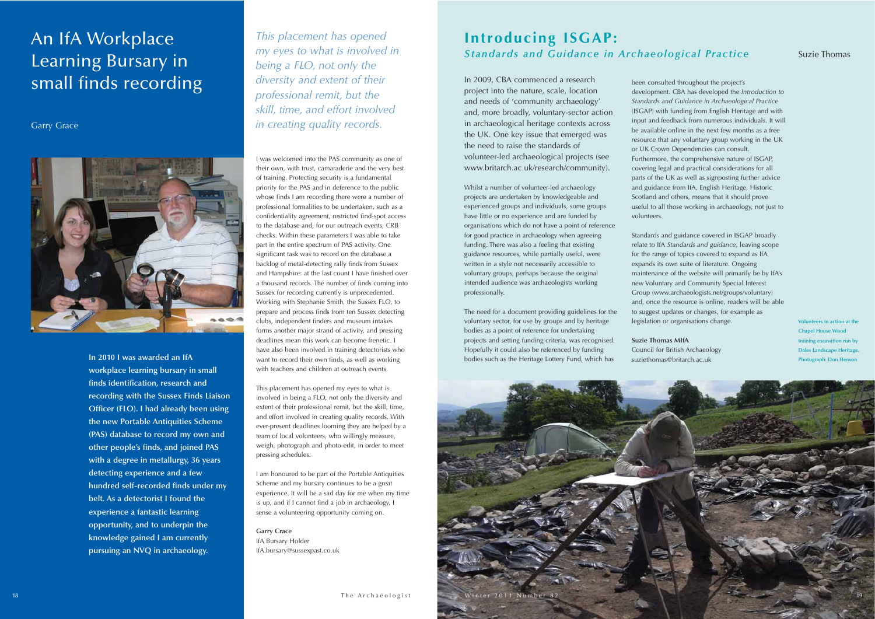I was welcomed into the PAS community as one of their own, with trust, camaraderie and the very best of training. Protecting security is a fundamental priority for the PAS and in deference to the public whose finds I am recording there were a number of professional formalities to be undertaken, such as a confidentiality agreement, restricted find-spot access to the database and, for our outreach events, CRB checks. Within these parameters I was able to take part in the entire spectrum of PAS activity. One significant task was to record on the database a backlog of metal-detecting rally finds from Sussex and Hampshire: at the last count I have finished over a thousand records. The number of finds coming into Sussex for recording currently is unprecedented. Working with Stephanie Smith, the Sussex FLO, to prepare and process finds from ten Sussex detecting clubs, independent finders and museum intakes forms another major strand of activity, and pressing deadlines mean this work can become frenetic. I have also been involved in training detectorists who want to record their own finds, as well as working with teachers and children at outreach events.

This placement has opened my eyes to what is involved in being a FLO, not only the diversity and extent of their professional remit, but the skill, time, and effort involved in creating quality records. With ever-present deadlines looming they are helped by a team of local volunteers, who willingly measure, weigh, photograph and photo-edit, in order to meet pressing schedules.

I am honoured to be part of the Portable Antiquities Scheme and my bursary continues to be a great experience. It will be a sad day for me when my time is up, and if I cannot find a job in archaeology, I sense a volunteering opportunity coming on.

**Garry Crace** IfA Bursary Holder IfA.bursary@sussexpast.co.uk

**In 2010 I was awarded an IfA workplace learning bursary in small finds identification, research and recording with the Sussex Finds Liaison Officer (FLO). I had already been using the new Portable Antiquities Scheme (PAS) database to record my own and other people's finds, and joined PAS with a degree in metallurgy, 36 years detecting experience and a few hundred self-recorded finds under my belt. As a detectorist I found the experience a fantastic learning opportunity, and to underpin the knowledge gained I am currently pursuing an NVQ in archaeology.**

# **Introducing ISGAP: Standards and Guidance in Archaeological Practice** Suzie Thomas

In 2009, CBA commenced a research project into the nature, scale, location and needs of 'community archaeology' and, more broadly, voluntary-sector action in archaeological heritage contexts across the UK. One key issue that emerged was the need to raise the standards of volunteer-led archaeological projects (see www.britarch.ac.uk/research/community).

Whilst a number of volunteer-led archaeology projects are undertaken by knowledgeable and experienced groups and individuals, some groups have little or no experience and are funded by organisations which do not have a point of reference for good practice in archaeology when agreeing funding. There was also a feeling that existing guidance resources, while partially useful, were written in a style not necessarily accessible to voluntary groups, perhaps because the original intended audience was archaeologists working professionally.

The need for a document providing guidelines for the voluntary sector, for use by groups and by heritage bodies as a point of reference for undertaking projects and setting funding criteria, was recognised. Hopefully it could also be referenced by funding bodies such as the Heritage Lottery Fund, which has

been consulted throughout the project's development. CBA has developed the *Introduction to Standards and Guidance in Archaeological Practice* (ISGAP) with funding from English Heritage and with input and feedback from numerous individuals. It will be available online in the next few months as a free resource that any voluntary group working in the UK or UK Crown Dependencies can consult. Furthermore, the comprehensive nature of ISGAP, covering legal and practical considerations for all parts of the UK as well as signposting further advice and guidance from IfA, English Heritage, Historic Scotland and others, means that it should prove useful to all those working in archaeology, not just to volunteers.

Standards and guidance covered in ISGAP broadly relate to IfA *Standards and guidance*, leaving scope for the range of topics covered to expand as IfA expands its own suite of literature. Ongoing maintenance of the website will primarily be by IfA's new Voluntary and Community Special Interest Group (www.archaeologists.net/groups/voluntary) and, once the resource is online, readers will be able to suggest updates or changes, for example as legislation or organisations change.

**Suzie Thomas MIfA** Council for British Archaeology suziethomas@britarch.ac.uk

# An IfA Workplace Learning Bursary in small finds recording



**Volunteers in action at the Chapel House Wood training excavation run by Dales Landscape Heritage. Photograph: Don Henson** 

Garry Grace



*This placement has opened my eyes to what is involved in being a FLO, not only the diversity and extent of their professional remit, but the skill, time, and effort involved in creating quality records.*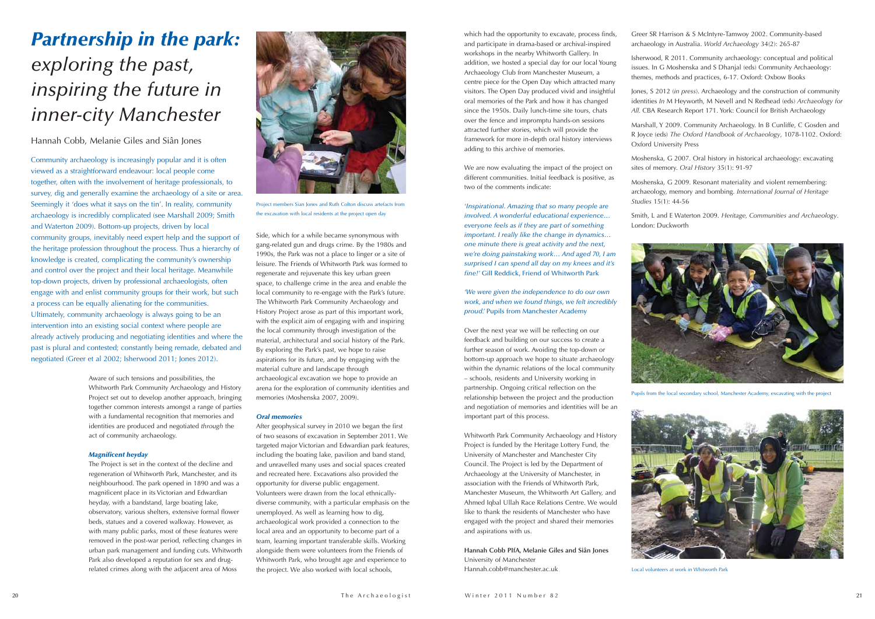Side, which for a while became synonymous with gang-related gun and drugs crime. By the 1980s and 1990s, the Park was not a place to linger or a site of leisure. The Friends of Whitworth Park was formed to regenerate and rejuvenate this key urban green space, to challenge crime in the area and enable the local community to re-engage with the Park's future. The Whitworth Park Community Archaeology and History Project arose as part of this important work, with the explicit aim of engaging with and inspiring the local community through investigation of the material, architectural and social history of the Park. By exploring the Park's past, we hope to raise aspirations for its future, and by engaging with the material culture and landscape through archaeological excavation we hope to provide an arena for the exploration of community identities and memories (Moshenska 2007, 2009).

#### *Oral memories*

After geophysical survey in 2010 we began the first of two seasons of excavation in September 2011. We targeted major Victorian and Edwardian park features, including the boating lake, pavilion and band stand, and unravelled many uses and social spaces created and recreated here. Excavations also provided the opportunity for diverse public engagement. Volunteers were drawn from the local ethnicallydiverse community, with a particular emphasis on the unemployed. As well as learning how to dig, archaeological work provided a connection to the local area and an opportunity to become part of a team, learning important transferable skills. Working alongside them were volunteers from the Friends of Whitworth Park, who brought age and experience to the project. We also worked with local schools,

Community archaeology is increasingly popular and it is often viewed as a straightforward endeavour: local people come together, often with the involvement of heritage professionals, to survey, dig and generally examine the archaeology of a site or area. Seemingly it 'does what it says on the tin'. In reality, community archaeology is incredibly complicated (see Marshall 2009; Smith and Waterton 2009). Bottom-up projects, driven by local community groups, inevitably need expert help and the support of the heritage profession throughout the process. Thus a hierarchy of knowledge is created, complicating the community's ownership and control over the project and their local heritage. Meanwhile top-down projects, driven by professional archaeologists, often engage with and enlist community groups for their work, but such a process can be equally alienating for the communities. Ultimately, community archaeology is always going to be an intervention into an existing social context where people are already actively producing and negotiating identities and where the past is plural and contested; constantly being remade, debated and negotiated (Greer et al 2002; Isherwood 2011; Jones 2012).

which had the opportunity to excavate, process finds, and participate in drama-based or archival-inspired workshops in the nearby Whitworth Gallery. In addition, we hosted a special day for our local Young Archaeology Club from Manchester Museum, a centre piece for the Open Day which attracted many visitors. The Open Day produced vivid and insightful oral memories of the Park and how it has changed since the 1950s. Daily lunch-time site tours, chats over the fence and impromptu hands-on sessions attracted further stories, which will provide the framework for more in-depth oral history interviews adding to this archive of memories.

We are now evaluating the impact of the project on different communities. Initial feedback is positive, as two of the comments indicate:

*'Inspirational. Amazing that so many people are involved. A wonderful educational experience… everyone feels as if they are part of something important. I really like the change in dynamics… one minute there is great activity and the next, we're doing painstaking work… And aged 70, I am surprised I can spend all day on my knees and it's fine!'* Gill Reddick, Friend of Whitworth Park

#### *'We were given the independence to do our own work, and when we found things, we felt incredibly proud.'* Pupils from Manchester Academy

Over the next year we will be reflecting on our feedback and building on our success to create a further season of work. Avoiding the top-down or bottom-up approach we hope to situate archaeology within the dynamic relations of the local community – schools, residents and University working in partnership. Ongoing critical reflection on the relationship between the project and the production and negotiation of memories and identities will be an important part of this process.

Whitworth Park Community Archaeology and History Project is funded by the Heritage Lottery Fund, the University of Manchester and Manchester City Council. The Project is led by the Department of Archaeology at the University of Manchester, in association with the Friends of Whitworth Park, Manchester Museum, the Whitworth Art Gallery, and Ahmed Iqbal Ullah Race Relations Centre. We would like to thank the residents of Manchester who have engaged with the project and shared their memories and aspirations with us.

**Hannah Cobb PIfA, Melanie Giles and Siân Jones** University of Manchester Hannah.cobb@manchester.ac.uk



Greer SR Harrison & S McIntyre-Tamwoy 2002. Community-based archaeology in Australia. *World Archaeology* 34(2): 265-87

Isherwood, R 2011. Community archaeology: conceptual and political issues. In G Moshenska and S Dhanjal (eds) Community Archaeology: themes, methods and practices, 6-17. Oxford: Oxbow Books

Jones, S 2012 (*in press*). Archaeology and the construction of community identities *In* M Heyworth, M Nevell and N Redhead (eds) *Archaeology for All.* CBA Research Report 171. York: Council for British Archaeology

Marshall, Y 2009. Community Archaeology. In B Cunliffe, C Gosden and R Joyce (eds) *The Oxford Handbook of Archaeology*, 1078-1102. Oxford: Oxford University Press

Moshenska, G 2007. Oral history in historical archaeology: excavating sites of memory. *Oral History* 35(1): 91-97

Moshenska, G 2009. Resonant materiality and violent remembering: archaeology, memory and bombing. *International Journal of Heritage Studies* 15(1): 44-56

Smith, L and E Waterton 2009. *Heritage, Communities and Archaeology*. London: Duckworth



Local volunteers at work in Whitworth Park

Aware of such tensions and possibilities, the Whitworth Park Community Archaeology and History Project set out to develop another approach, bringing together common interests amongst a range of parties with a fundamental recognition that memories and identities are produced and negotiated *through* the act of community archaeology.

#### *Magnificent heyday*

The Project is set in the context of the decline and regeneration of Whitworth Park, Manchester, and its neighbourhood. The park opened in 1890 and was a magnificent place in its Victorian and Edwardian heyday, with a bandstand, large boating lake, observatory, various shelters, extensive formal flower beds, statues and a covered walkway. However, as with many public parks, most of these features were removed in the post-war period, reflecting changes in urban park management and funding cuts. Whitworth Park also developed a reputation for sex and drugrelated crimes along with the adjacent area of Moss



Pupils from the local secondary school, Manchester Academy, excavating with the project



Project members Sian Jones and Ruth Colton discuss artefacts from the excavation with local residents at the project open day

# *Partnership in the park: exploring the past, inspiring the future in inner-city Manchester*

Hannah Cobb, Melanie Giles and Siân Jones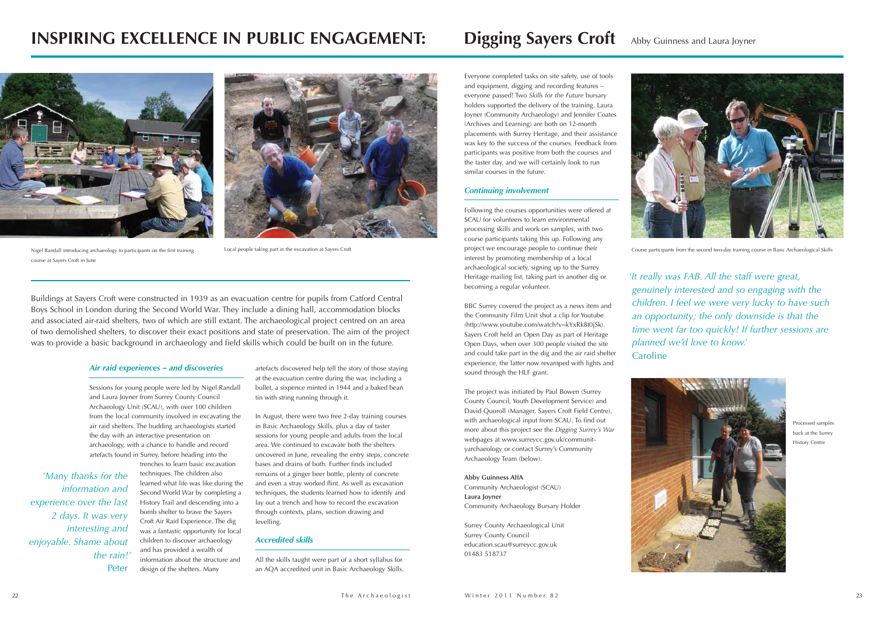Everyone completed tasks on site safety, use of tools and equipment, digging and recording features – everyone passed! Two *Skills for the Future* bursary holders supported the delivery of the training. Laura Joyner (Community Archaeology) and Jennifer Coates (Archives and Learning) are both on 12-month placements with Surrey Heritage, and their assistance was key to the success of the courses. Feedback from participants was positive from both the courses and the taster day, and we will certainly look to run similar courses in the future.

#### *Continuing involvement*

Following the courses opportunities were offered at SCAU for volunteers to learn environmental processing skills and work on samples, with two course participants taking this up. Following any project we encourage people to continue their interest by promoting membership of a local archaeological society, signing up to the Surrey Heritage mailing list, taking part in another dig or becoming a regular volunteer.

BBC Surrey covered the project as a news item and the Community Film Unit shot a clip for Youtube (http://www.youtube.com/watch?v=kYxRk8t0jSk). Sayers Croft held an Open Day as part of Heritage Open Days, when over 300 people visited the site and could take part in the dig and the air raid shelter experience, the latter now revamped with lights and sound through the HLF grant.

The project was initiated by Paul Bowen (Surrey County Council, Youth Development Service) and David Quoroll (Manager, Sayers Croft Field Centre), with archaeological input from SCAU. To find out more about this project see the *Digging Surrey's War* webpages at www.surreycc.gov.uk/communityarchaeology or contact Surrey's Community Archaeology Team (below).

#### **Abby Guinness AIfA**

Community Archaeologist (SCAU) **Laura Joyner** Community Archaeology Bursary Holder

Surrey County Archaeological Unit Surrey County Council education.scau@surreycc.gov.uk 01483 518737

**Caroline** 



#### *Air raid experiences – and discoveries*

Sessions for young people were led by Nigel Randall and Laura Joyner from Surrey County Council Archaeology Unit (SCAU), with over 100 children from the local community involved in excavating the air raid shelters. The budding archaeologists started the day with an interactive presentation on archaeology, with a chance to handle and record artefacts found in Surrey, before heading into the

trenches to learn basic excavation techniques. The children also learned what life was like during the Second World War by completing a History Trail and descending into a bomb shelter to brave the Sayers Croft Air Raid Experience. The dig was a fantastic opportunity for local children to discover archaeology and has provided a wealth of information about the structure and design of the shelters. Many

Buildings at Sayers Croft were constructed in 1939 as an evacuation centre for pupils from Catford Central Boys School in London during the Second World War. They include a dining hall, accommodation blocks and associated air-raid shelters, two of which are still extant. The archaeological project centred on an area of two demolished shelters, to discover their exact positions and state of preservation. The aim of the project was to provide a basic background in archaeology and field skills which could be built on in the future.

> artefacts discovered help tell the story of those staying at the evacuation centre during the war, including a bullet, a sixpence minted in 1944 and a baked bean tin with string running through it.

> In August, there were two free 2-day training courses in Basic Archaeology Skills, plus a day of taster sessions for young people and adults from the local area. We continued to excavate both the shelters uncovered in June, revealing the entry steps, concrete bases and drains of both. Further finds included remains of a ginger beer bottle, plenty of concrete and even a stray worked flint. As well as excavation techniques, the students learned how to identify and lay out a trench and how to record the excavation through contexts, plans, section drawing and levelling.

#### *Accredited skills*

All the skills taught were part of a short syllabus for an AQA accredited unit in Basic Archaeology Skills.

Local people taking part in the excavation at Sayers Croft



Processed samples back at the Surrey History Centre

# **INSPIRING EXCELLENCE IN PUBLIC ENGAGEMENT:** Digging Sayers Croft Abby Guinness and Laura Joyner





Nigel Randall introducing archaeology to participants on the first training course at Sayers Croft in June



Course participants from the second two-day training course in Basic Archaeological Skills

*'It really was FAB. All the staff were great, genuinely interested and so engaging with the children. I feel we were very lucky to have such an opportunity; the only downside is that the time went far too quickly! If further sessions are planned we'd love to know.'*

*'Many thanks for the information and experience over the last 2 days. It was very interesting and enjoyable. Shame about the rain!'* Peter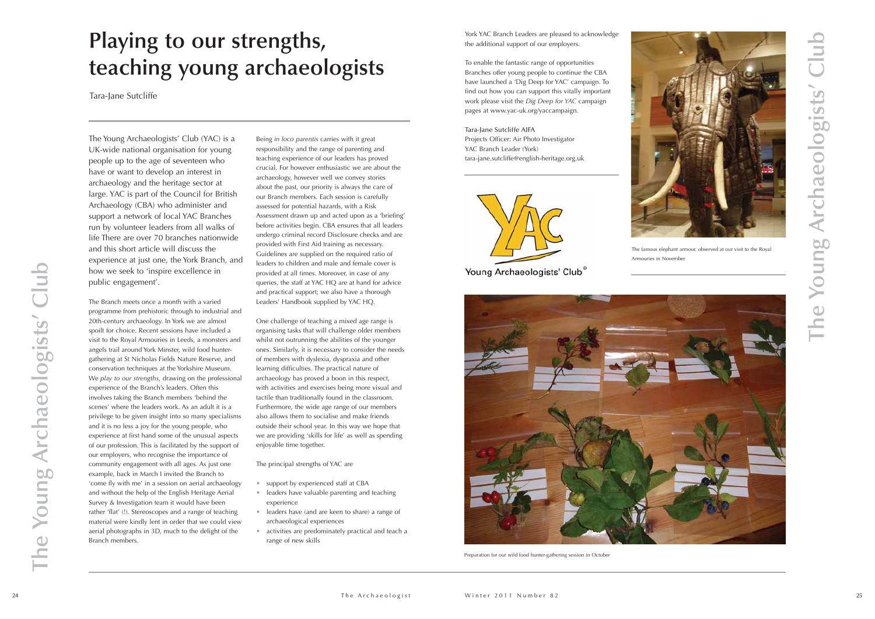Being *in loco parentis* carries with it great responsibility and the range of parenting and teaching experience of our leaders has proved crucial. For however enthusiastic we are about the archaeology, however well we convey stories about the past, our priority is always the care of our Branch members. Each session is carefully assessed for potential hazards, with a Risk Assessment drawn up and acted upon as a 'briefing' before activities begin. CBA ensures that all leaders undergo criminal record Disclosure checks and are provided with First Aid training as necessary. Guidelines are supplied on the required ratio of leaders to children and male and female cover is provided at all times. Moreover, in case of any queries, the staff at YAC HQ are at hand for advice and practical support; we also have a thorough Leaders' Handbook supplied by YAC HQ.

- support by experienced staff at CBA
- leaders have valuable parenting and teaching experience
- leaders have (and are keen to share) a range of archaeological experiences
- activities are predominately practical and teach a range of new skills

One challenge of teaching a mixed age range is organising tasks that will challenge older members whilst not outrunning the abilities of the younger ones. Similarly, it is necessary to consider the needs of members with dyslexia, dyspraxia and other learning difficulties. The practical nature of archaeology has proved a boon in this respect, with activities and exercises being more visual and tactile than traditionally found in the classroom. Furthermore, the wide age range of our members also allows them to socialise and make friends outside their school year. In this way we hope that we are providing 'skills for life' as well as spending enjoyable time together.

The principal strengths of YAC are



The famous elephant armour, observed at our visit to the Royal

# Armouries in November



Preparation for our wild food hunter-gathering session in October

# **The Young Archaeologists' Club** The Young Archaeologists'

The Young Archaeologists' Club (YAC) is a UK-wide national organisation for young people up to the age of seventeen who have or want to develop an interest in archaeology and the heritage sector at large. YAC is part of the Council for British Archaeology (CBA) who administer and support a network of local YAC Branches run by volunteer leaders from all walks of life There are over 70 branches nationwide and this short article will discuss the experience at just one, the York Branch, and how we seek to 'inspire excellence in public engagement'.

The Branch meets once a month with a varied programme from prehistoric through to industrial and 20th-century archaeology. In York we are almost spoilt for choice. Recent sessions have included a visit to the Royal Armouries in Leeds, a monsters and angels trail around York Minster, wild food huntergathering at St Nicholas Fields Nature Reserve, and conservation techniques at the Yorkshire Museum. We *play to our strengths*, drawing on the professional experience of the Branch's leaders. Often this involves taking the Branch members 'behind the scenes' where the leaders work. As an adult it is a privilege to be given insight into so many specialisms and it is no less a joy for the young people, who experience at first hand some of the unusual aspects of our profession. This is facilitated by the support of our employers, who recognise the importance of community engagement with all ages. As just one example, back in March I invited the Branch to 'come fly with me' in a session on aerial archaeology and without the help of the English Heritage Aerial Survey & Investigation team it would have been rather 'flat' (!). Stereoscopes and a range of teaching material were kindly lent in order that we could view aerial photographs in 3D, much to the delight of the Branch members.

York YAC Branch Leaders are pleased to acknowledge the additional support of our employers.

To enable the fantastic range of opportunities Branches offer young people to continue the CBA have launched a 'Dig Deep for YAC' campaign. To find out how you can support this vitally important work please visit the *Dig Deep for YAC* campaign pages at www.yac-uk.org/yaccampaign.

#### Tara-Jane Sutcliffe AIFA

Projects Officer: Air Photo Investigator YAC Branch Leader (York) tara-jane.sutcliffe@english-heritage.org.uk



# **Playing to our strengths, teaching young archaeologists**

Tara-Jane Sutcliffe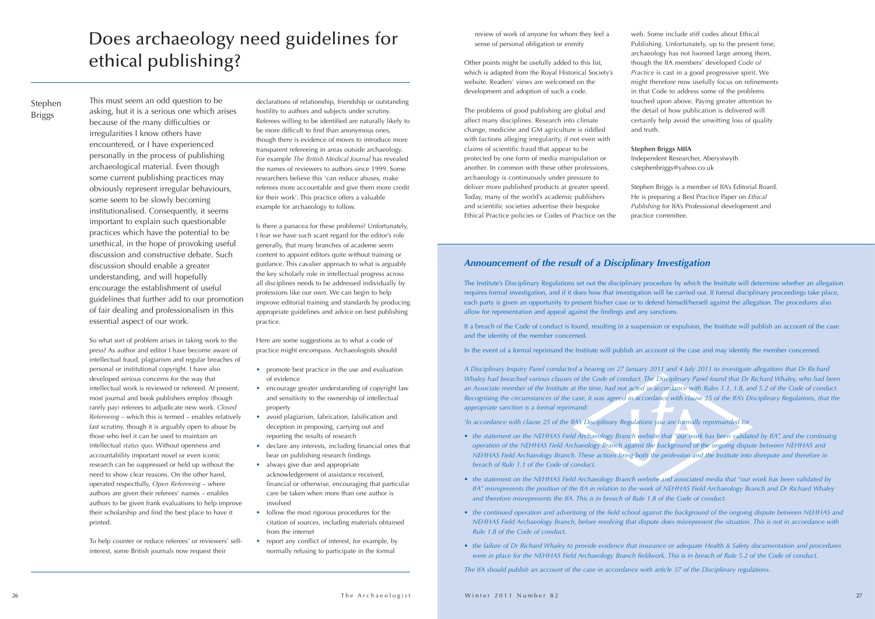#### *Announcement of the result of a Disciplinary Investigation*

The Institute's Disciplinary Regulations set out the disciplinary procedure by which the Institute will determine whether an allegation requires formal investigation, and if it does how that investigation will be carried out. If formal disciplinary proceedings take place, each party is given an opportunity to present his/her case or to defend himself/herself against the allegation. The procedures also allow for representation and appeal against the findings and any sanctions.

If a breach of the Code of conduct is found, resulting in a suspension or expulsion, the Institute will publish an account of the case and the identity of the member concerned.

In the event of a formal reprimand the Institute will publish an account of the case and may identify the member concerned.

*A Disciplinary Inquiry Panel conducted a hearing on 27 January 2011 and 4 July 2011 to investigate allegations that Dr Richard Whaley had breached various clauses of the Code of conduct. The Disciplinary Panel found that Dr Richard Whaley, who had been an Associate member of the Institute at the time, had not acted in accordance with Rules 1.1, 1.8, and 5.2 of the Code of conduct. Recognising the circumstances of the case, it was agreed in accordance with clause 25 of the IfA's Disciplinary Regulations, that the appropriate sanction is a formal reprimand:*

*'ln accordance with clause 25 of the lfA's Disciplinary Regulations you are formally reprimanded for* 

- *the statement on the NEHHAS Field Archaeology Branch website that "our work has been validated by IfA", and the continuing operation of the NEHHAS Field Archaeology Branch against the background of the ongoing dispute between NEHHAS and NEHHAS Field Archaeology Branch. These actions bring both the profession and the Institute into disrepute and therefore in breach of Rule 1.1 of the Code of conduct.*
- *the statement on the NEHHAS Field Archaeology Branch website and associated media that "our work has been validated by IfA" misrepresents the position of the IfA in relation to the work of NEHHAS Field Archaeology Branch and Dr Richard Whaley and therefore misrepresents the IfA. This is in breach of Rule 1.8 of the Code of conduct.*
- *the continued operation and advertising of the field school against the background of the ongoing dispute between NEHHAS and NEHHAS Field Archaeology Branch, before resolving that dispute does misrepresent the situation. This is not in accordance with Rule 1.8 of the Code of conduct.*
- *the failure of Dr Richard Whaley to provide evidence that insurance or adequate Health & Safety documentation and procedures were in place for the NEHHAS Field Archaeology Branch fieldwork. This is in breach of Rule 5.2 of the Code of conduct.*
- promote best practice in the use and evaluation of evidence
- encourage greater understanding of copyright law and sensitivity to the ownership of intellectual property
- avoid plagiarism, fabrication, falsification and deception in proposing, carrying out and reporting the results of research
- declare any interests, including financial ones that bear on publishing research findings
- always give due and appropriate acknowledgement of assistance received, financial or otherwise, encouraging that particular care be taken when more than one author is involved
- follow the most rigorous procedures for the citation of sources, including materials obtained from the internet
- report any conflict of interest, for example, by normally refusing to participate in the formal

*The IfA should publish an account of the case in accordance with article 37 of the Disciplinary regulations.*

declarations of relationship, friendship or outstanding hostility to authors and subjects under scrutiny. Referees willing to be identified are naturally likely to be more difficult to find than anonymous ones, though there is evidence of moves to introduce more transparent refereeing in areas outside archaeology. For example *The British Medical Journal* has revealed the names of reviewers to authors since 1999. Some researchers believe this 'can reduce abuses, make referees more accountable and give them more credit for their work'. This practice offers a valuable example for archaeology to follow.

Is there a panacea for these problems? Unfortunately, I fear we have such scant regard for the editor's role generally, that many branches of academe seem content to appoint editors quite without training or guidance. This cavalier approach to what is arguably the key scholarly role in intellectual progress across all disciplines needs to be addressed individually by professions like our own. We can begin to help improve editorial training and standards by producing appropriate guidelines and advice on best publishing practice.

Here are some suggestions as to what a code of practice might encompass. Archaeologists should

This must seem an odd question to be asking, but it is a serious one which arises because of the many difficulties or irregularities I know others have encountered, or I have experienced personally in the process of publishing archaeological material. Even though some current publishing practices may obviously represent irregular behaviours, some seem to be slowly becoming institutionalised. Consequently, it seems important to explain such questionable practices which have the potential to be unethical, in the hope of provoking useful discussion and constructive debate. Such discussion should enable a greater understanding, and will hopefully encourage the establishment of useful guidelines that further add to our promotion of fair dealing and professionalism in this essential aspect of our work.

So what sort of problem arises in taking work to the press? As author and editor I have become aware of intellectual fraud, plagiarism and regular breaches of personal or institutional copyright. I have also developed serious concerns for the way that intellectual work is reviewed or refereed. At present, most journal and book publishers employ (though rarely pay) referees to adjudicate new work. *Closed Refereeing* – which this is termed – enables relatively fast scrutiny, though it is arguably open to abuse by those who feel it can be used to maintain an intellectual *status quo*. Without openness and accountability important novel or even iconic research can be suppressed or held up without the need to show clear reasons. On the other hand, operated respectfully, *Open Refereeing* – where authors are given their referees' names – enables authors to be given frank evaluations to help improve their scholarship and find the best place to have it printed.

To help counter or reduce referees' or reviewers' selfinterest, some British journals now request their

# Does archaeology need guidelines for ethical publishing?

review of work of anyone for whom they feel a sense of personal obligation or enmity

Other points might be usefully added to this list, which is adapted from the Royal Historical Society's website. Readers' views are welcomed on the development and adoption of such a code.

The problems of good publishing are global and affect many disciplines. Research into climate change, medicine and GM agriculture is riddled with factions alleging irregularity, if not even with claims of scientific fraud that appear to be protected by one form of media manipulation or another. In common with these other professions, archaeology is continuously under pressure to deliver more published products at greater speed. Today, many of the world's academic publishers and scientific societies advertise their bespoke Ethical Practice policies or Codes of Practice on the

web. Some include stiff codes about Ethical Publishing. Unfortunately, up to the present time, archaeology has not loomed large among them, though the IfA members' developed *Code of Practice* is cast in a good progressive spirit. We might therefore now usefully focus on refinements in that Code to address some of the problems touched upon above. Paying greater attention to the detail of how publication is delivered will certainly help avoid the unwitting loss of quality

and truth.

**Stephen Briggs MIfA**

Independent Researcher, Aberystwyth cstephenbriggs@yahoo.co.uk

Stephen Briggs is a member of IfA's Editorial Board. He is preparing a Best Practice Paper on *Ethical Publishing* for IfA's Professional development and

practice committee.

#### Stephen Briggs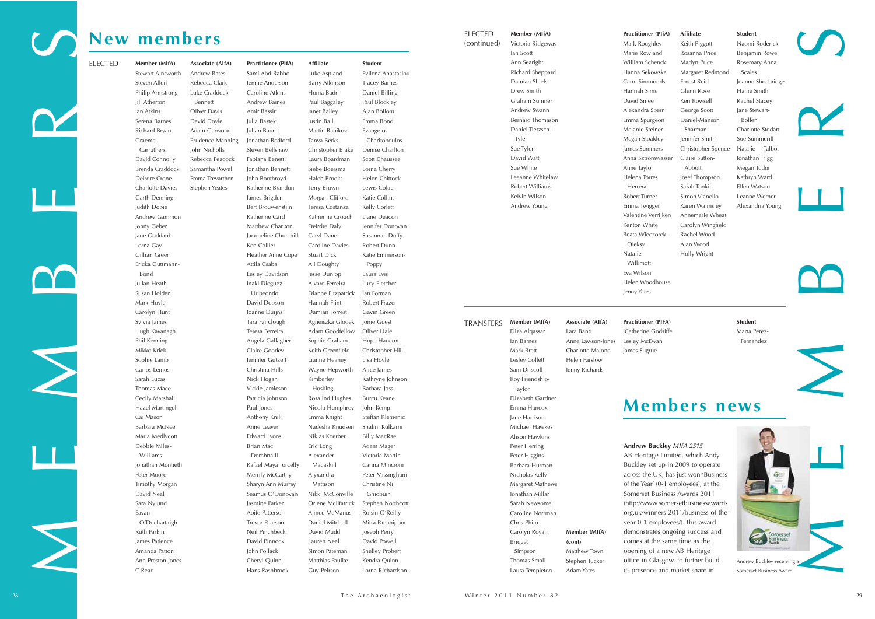# **New members**

# **Members news**

ELECTED

MEMBERS<br>MEMBERS<br>MEMBERS

**Member (MIfA)** Stewart Ainsworth Steven Allen Philip Armstrong Jill Atherton Ian Atkins Serena Barnes Richard Bryant Graeme Carruthers David Connolly Brenda Craddock Deirdre Crone Charlotte Davies Garth Denning Judith Dobie Andrew Gammon Jonny Geber Jane Goddard Lorna Gay Gillian Greer Ericka Guttmann-Bond Julian Heath Susan Holden Mark Hoyle Carolyn Hunt Sylvia James Hugh Kavanagh Phil Kenning Mikko Kriek Sophie Lamb Carlos Lemos Sarah Lucas Thomas Mace Cecily Marshall Hazel Martingell Cai Mason Barbara McNee Maria Medlycott Debbie Miles-Williams Jonathan Montieth Peter Moore Timothy Morgan David Neal Sara Nylund Eavan

O'Dochartaigh Ruth Parkin James Patience Amanda Patton Ann Preston-Jones

C Read

**Associate (AIfA)** Andrew Bates Rebecca Clark Luke Craddock-Bennett Oliver Davis David Doyle Adam Garwood Prudence Manning John Nicholls Rebecca Peacock Samantha Powell Emma Trevarthen Stephen Yeates

**Practitioner (PIfA)** Sami Abd-Rabbo Jennie Anderson Caroline Atkins Andrew Baines Amir Bassir Julia Bastek Julian Baum Jonathan Bedford Steven Bellshaw Fabiana Benetti Jonathan Bennett John Boothroyd Katherine Brandon James Brigden Bert Brouwenstijn Katherine Card Matthew Charlton Jacqueline Churchill Ken Collier Heather Anne Cope Attila Csaba Lesley Davidson Inaki Dieguez-Uribeondo David Dobson Joanne Duijns Tara Fairclough Teresa Ferreira Angela Gallagher Claire Goodey Jennifer Gutzeit Christina Hills Nick Hogan Vickie Jamieson Patricia Johnson Paul Jones Anthony Knill Anne Leaver Edward Lyons Brian Mac Domhnaill Rafael Maya Torcelly Merrily McCarthy Sharyn Ann Murray Seamus O'Donovan Jasmine Parker Aoife Patterson Trevor Pearson Neil Pinchbeck David Pinnock John Pollack Cheryl Quinn Hans Rashbrook

#### ELECTED (continued) **Member (MIfA)**

**Student** Evilena Anastasiou Tracey Barnes Daniel Billing Paul Blockley Alan Bollom Emma Bond Evangelos Charitopoulos Denise Charlton Scott Chaussee Lorna Cherry Helen Chittock Lewis Colau Katie Collins Kelly Corlett Liane Deacon Jennifer Donovan Susannah Duffy Robert Dunn Katie Emmerson-Poppy Laura Evis Lucy Fletcher Ian Forman Robert Frazer Gavin Green Jonie Guest Oliver Hale Hope Hancox Christopher Hill Lisa Hoyle Alice James Kathryne Johnson Barbara Joss Burcu Keane John Kemp Steffan Klemenic Shalini Kulkarni Billy MacRae Adam Mager Victoria Martin Carina Mincioni Peter Missingham Christine Ni Ghiobuin Stephen Northcott Roisin O'Reilly Mitra Panahipoor Joseph Perry David Powell Shelley Probert Kendra Quinn Lorna Richardson

Mark Roughle Marie Rowlan William Schen Hanna Sekows Carol Simmon Hannah Sims David Smee Alexandra Spe Emma Spurgeo Melanie Steine Megan Stoakley James Summer Anna Sztromw Anne Taylor Helena Torres Herrera Robert Turner Emma Twigge Valentine Verr Kenton White Beata Wieczor Oleksy Natalie Willimott Eva Wilson Helen Woodhouse Jenny Yates



Andrew Buckley receiving Somerset Business Award

**Affiliate** Luke Aspland Barry Atkinson Homa Badr Paul Baggaley Janet Bailey Justin Ball Martin Banikov Tanya Berks Christopher Blake Laura Boardman Siebe Boersma Haleh Brooks Terry Brown Morgan Clifford Teresa Costanza Katherine Crouch Deirdre Daly Caryl Dane Caroline Davies Stuart Dick Ali Doughty Jesse Dunlop Alvaro Ferreira Dianne Fitzpatrick Hannah Flint Damian Forrest Agneiszka Glodek Adam Goodfellow Sophie Graham Keith Greenfield Lianne Heaney Wayne Hepworth Kimberley Hosking Rosalind Hughes Nicola Humphrey Emma Knight Nadesha Knudsen Niklas Koerber Eric Long Alexander Macaskill Alyxandra Mattison Nikki McConville Orlene McIlfatrick Aimee McManus Daniel Mitchell David Mudd Lauren Neal Simon Pateman Matthias Paulke Guy Peirson

#### TRANSFERS **Member (MIfA)**

Eliza Alqassar

Ian Barnes Mark Brett Lesley Collett Sam Driscoll Roy Friendship-Taylor Elizabeth Gardner Emma Hancox Jane Harrison Michael Hawkes Alison Hawkins Peter Herring Peter Higgins Barbara Hurman Nicholas Kelly Margaret Mathews Jonathan Millar Sarah Newsome Caroline Norrman Chris Philo Carolyn Royall Bridget Simpson Thomas Small Laura Templeton

#### **Practitioner (P**

**Member (MIfA)**

**(cont)** Matthew Town Stephen Tucker Adam Yates

**Associate (AIfA)** Lara Band

Charlotte Malone Helen Parslow Jenny Richards

Anne Lawson-Jones **Practitioner (PIFA)** JCatherine Godsiffe Lesley McEwan James Sugrue

Victoria Ridgeway Ian Scott

Ann Searight Richard Sheppard Damian Shiels Drew Smith Graham Sumner Andrew Swann Bernard Thomason Daniel Tietzsch-Tyler Sue Tyler David Watt Sue White Leeanne Whitelaw Robert Williams Kelvin Wilson Andrew Young

| lfA)   | <b>Affiliate</b>                          | <b>Student</b>             |  |
|--------|-------------------------------------------|----------------------------|--|
| y      | Keith Piggott                             | Naomi Roderick             |  |
| d      | Rosanna Price                             | Benjamin Rowe              |  |
| ıck    | Marlyn Price                              | Rosemary Anna              |  |
| ska    | Margaret Redmond                          | Scales                     |  |
| ıds    | Ernest Reid                               | Joanne Shoebridge          |  |
|        | Glenn Rose                                | Hallie Smith               |  |
|        | Keri Rowsell                              | Rachel Stacey              |  |
| ۲r     | George Scott                              | Jane Stewart-              |  |
| วท     | Daniel-Manson                             | Bollen                     |  |
|        | Sharman                                   | Charlotte Stodart          |  |
| эr     | Jennifer Smith                            | Sue Summerill              |  |
| эy     |                                           |                            |  |
| rs     | Christopher Spence                        | Natalie<br>Talbot          |  |
| vasser | Claire Sutton-                            | Jonathan Trigg             |  |
|        | Abbott                                    | Megan Tudor                |  |
|        | Josef Thompson                            | Kathryn Ward               |  |
|        | Sarah Tonkin                              | Ellen Watson               |  |
|        | Simon Vianello                            | Leanne Werner              |  |
|        | Karen Walmsley                            | Alexandria Young           |  |
| ijken  | Annemarie Wheat                           |                            |  |
|        | Carolyn Wingfield                         |                            |  |
| rek-   | Rachel Wood                               |                            |  |
|        | Alan Wood                                 |                            |  |
|        | Holly Wright                              |                            |  |
|        |                                           |                            |  |
|        |                                           |                            |  |
| ouse   |                                           |                            |  |
|        |                                           |                            |  |
|        |                                           |                            |  |
|        |                                           |                            |  |
| PIFA)  |                                           | <b>Student</b>             |  |
| dsiffe |                                           | Marta Perez-               |  |
| n      |                                           | Fernandez                  |  |
|        |                                           |                            |  |
|        |                                           |                            |  |
|        |                                           |                            |  |
|        |                                           |                            |  |
|        |                                           |                            |  |
|        |                                           |                            |  |
|        | nbers news                                |                            |  |
|        |                                           |                            |  |
|        |                                           |                            |  |
|        |                                           |                            |  |
|        | kley MIfA 2515                            |                            |  |
|        | Limited, which Andy                       |                            |  |
|        |                                           |                            |  |
|        | up in 2009 to operate                     |                            |  |
|        | K, has just won 'Business                 |                            |  |
|        | 0-1 employees), at the                    |                            |  |
|        | siness Awards 2011                        |                            |  |
|        | somersetbusinessawards.                   |                            |  |
|        |                                           |                            |  |
|        | ers-2011/business-of-the-                 |                            |  |
|        | ployees/). This award                     |                            |  |
|        | s ongoing success and                     |                            |  |
|        | same time as the                          |                            |  |
|        |                                           |                            |  |
|        | new AB Heritage<br>sgow, to further build | Andrew Buckley receiving a |  |

**Andrew Buckley** *MIfA 2515*



AB Heritage Limited, which Andy Buckley set up in 2009 to operate across the UK, has just won 'Business of the Year' (0-1 employees), at the Somerset Business Awards 2011 (http://www.somersetbusinessawards. org.uk/winners-2011/business-of-theyear-0-1-employees/). This award demonstrates ongoing success and comes at the same time as the opening of a new AB Heritage office in Glasgow, to further build its presence and market share in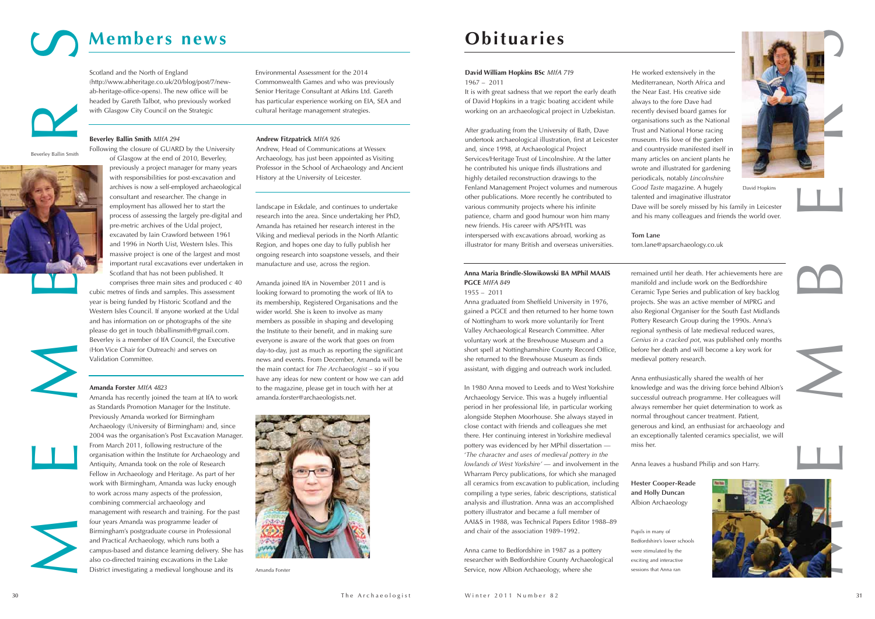Environmental Assessment for the 2014 Commonwealth Games and who was previously Senior Heritage Consultant at Atkins Ltd. Gareth has particular experience working on EIA, SEA and cultural heritage management strategies.

Scotland and the North of England (http://www.abheritage.co.uk/20/blog/post/7/newab-heritage-office-opens). The new office will be headed by Gareth Talbot, who previously worked with Glasgow City Council on the Strategic



#### **David William Hopkins BSc** *MIfA 719*

1967 – 2011

It is with great sadness that we report the early death of David Hopkins in a tragic boating accident while working on an archaeological project in Uzbekistan.

After graduating from the University of Bath, Dave undertook archaeological illustration, first at Leicester and, since 1998, at Archaeological Project Services/Heritage Trust of Lincolnshire. At the latter he contributed his unique finds illustrations and highly detailed reconstruction drawings to the Fenland Management Project volumes and numerous other publications. More recently he contributed to various community projects where his infinite patience, charm and good humour won him many new friends. His career with APS/HTL was interspersed with excavations abroad, working as illustrator for many British and overseas universities.

He worked extensively in the Mediterranean, North Africa and the Near East. His creative side always to the fore Dave had recently devised board games for organisations such as the National Trust and National Horse racing museum. His love of the garden and countryside manifested itself in many articles on ancient plants he wrote and illustrated for gardening periodicals, notably *Lincolnshire Good Taste* magazine. A hugely talented and imaginative illustrator

Dave will be sorely missed by his family in Leicester and his many colleagues and friends the world over.

**Tom Lane**

tom.lane@apsarchaeology.co.uk

### **Beverley Ballin Smith** *MIfA 294*

Following the closure of GUARD by the University of Glasgow at the end of 2010, Beverley, previously a project manager for many years with responsibilities for post-excavation and archives is now a self-employed archaeological consultant and researcher. The change in employment has allowed her to start the process of assessing the largely pre-digital and pre-metric archives of the Udal project, excavated by Iain Crawford between 1961 and 1996 in North Uist, Western Isles. This massive project is one of the largest and most important rural excavations ever undertaken in Scotland that has not been published. It

comprises three main sites and produced *c* 40 cubic metres of finds and samples. This assessment year is being funded by Historic Scotland and the Western Isles Council. If anyone worked at the Udal and has information on or photographs of the site please do get in touch (bballinsmith@gmail.com. Beverley is a member of IfA Council, the Executive (Hon Vice Chair for Outreach) and serves on Validation Committee.

#### **Andrew Fitzpatrick** *MIfA 926*

Andrew, Head of Communications at Wessex Archaeology, has just been appointed as Visiting Professor in the School of Archaeology and Ancient History at the University of Leicester.

#### **Amanda Forster** *MIfA 4823*

Amanda has recently joined the team at IfA to work as Standards Promotion Manager for the Institute. Previously Amanda worked for Birmingham Archaeology (University of Birmingham) and, since 2004 was the organisation's Post Excavation Manager. From March 2011, following restructure of the organisation within the Institute for Archaeology and Antiquity, Amanda took on the role of Research Fellow in Archaeology and Heritage. As part of her work with Birmingham, Amanda was lucky enough to work across many aspects of the profession, combining commercial archaeology and management with research and training. For the past four years Amanda was programme leader of Birmingham's postgraduate course in Professional and Practical Archaeology, which runs both a campus-based and distance learning delivery. She has also co-directed training excavations in the Lake District investigating a medieval longhouse and its

landscape in Eskdale, and continues to undertake research into the area. Since undertaking her PhD, Amanda has retained her research interest in the Viking and medieval periods in the North Atlantic Region, and hopes one day to fully publish her ongoing research into soapstone vessels, and their manufacture and use, across the region.

Amanda joined IfA in November 2011 and is looking forward to promoting the work of IfA to its membership, Registered Organisations and the wider world. She is keen to involve as many members as possible in shaping and developing the Institute to their benefit, and in making sure everyone is aware of the work that goes on from day-to-day, just as much as reporting the significant news and events. From December, Amanda will be the main contact for *The Archaeologist* – so if you have any ideas for new content or how we can add to the magazine, please get in touch with her at amanda.forster@archaeologists.net.



# **Members news Obituaries**



Amanda Forster



#### **Anna Maria Brindle-Slowikowski BA MPhil MAAIS PGCE** *MIFA 849*

#### 1955 – 2011

Anna graduated from Sheffield University in 1976, gained a PGCE and then returned to her home town of Nottingham to work more voluntarily for Trent Valley Archaeological Research Committee. After voluntary work at the Brewhouse Museum and a short spell at Nottinghamshire County Record Office, she returned to the Brewhouse Museum as finds assistant, with digging and outreach work included.

In 1980 Anna moved to Leeds and to West Yorkshire Archaeology Service. This was a hugely influential period in her professional life, in particular working alongside Stephen Moorhouse. She always stayed in close contact with friends and colleagues she met there. Her continuing interest in Yorkshire medieval pottery was evidenced by her MPhil dissertation — '*The character and uses of medieval pottery in the lowlands of West Yorkshire'* — and involvement in the Wharram Percy publications, for which she managed all ceramics from excavation to publication, including compiling a type series, fabric descriptions, statistical analysis and illustration. Anna was an accomplished pottery illustrator and became a full member of AAI&S in 1988, was Technical Papers Editor 1988–89 and chair of the association 1989–1992.

Anna came to Bedfordshire in 1987 as a pottery researcher with Bedfordshire County Archaeological Service, now Albion Archaeology, where she

remained until her death. Her achievements here are manifold and include work on the Bedfordshire Ceramic Type Series and publication of key backlog projects. She was an active member of MPRG and also Regional Organiser for the South East Midlands Pottery Research Group during the 1990s. Anna's regional synthesis of late medieval reduced wares, *Genius in a cracked pot*, was published only months before her death and will become a key work for medieval pottery research.

Anna enthusiastically shared the wealth of her knowledge and was the driving force behind Albion's successful outreach programme. Her colleagues will always remember her quiet determination to work as normal throughout cancer treatment. Patient,

generous and kind, an enthusiast for archaeology and an exceptionally talented ceramics specialist, we will



miss her.

Anna leaves a husband Philip and son Harry.

**Hester Cooper-Reade** 



**and Holly Duncan**  Albion Archaeology David Hopkins

Pupils in many of Bedfordshire's lower schools were stimulated by the exciting and interactive sessions that Anna ran

Beverley Ballin Smith